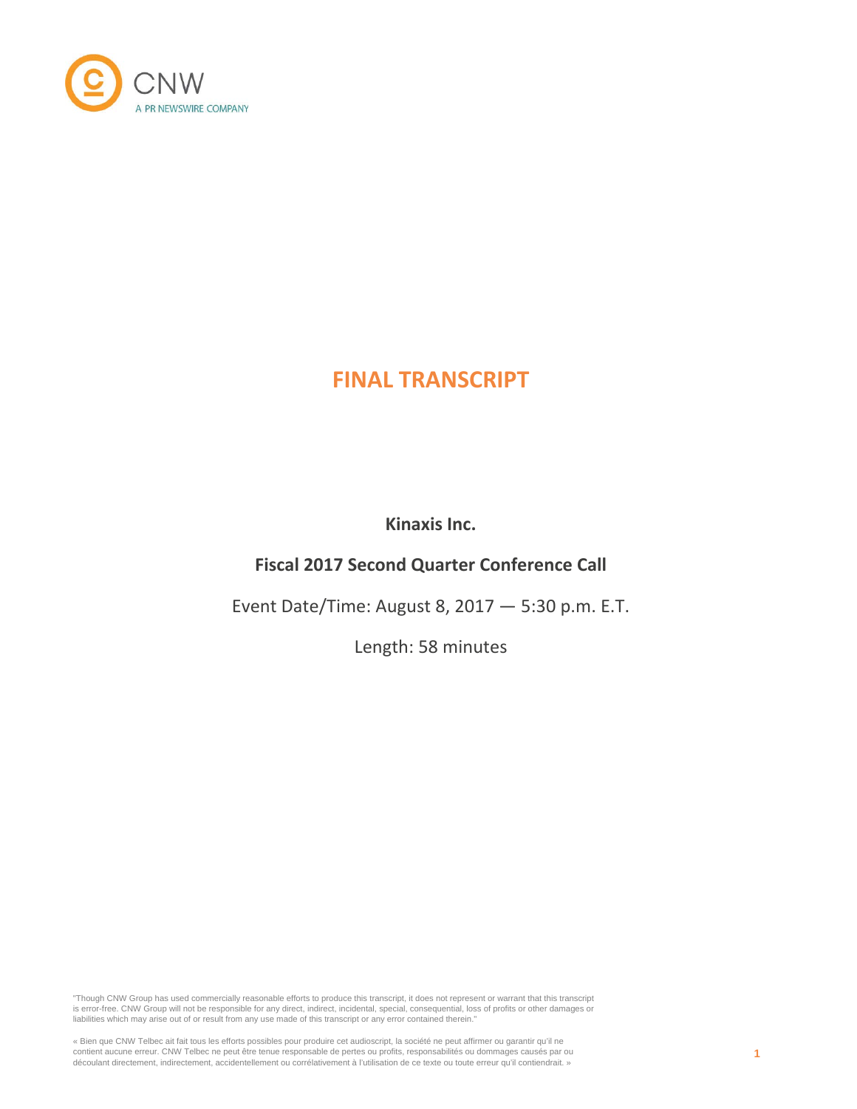

# **FINAL TRANSCRIPT**

**Kinaxis Inc.**

# **Fiscal 2017 Second Quarter Conference Call**

Event Date/Time: August 8, 2017 — 5:30 p.m. E.T.

Length: 58 minutes

"Though CNW Group has used commercially reasonable efforts to produce this transcript, it does not represent or warrant that this transcript is error-free. CNW Group will not be responsible for any direct, indirect, incidental, special, consequential, loss of profits or other damages or liabilities which may arise out of or result from any use made of this transcript or any error contained therein."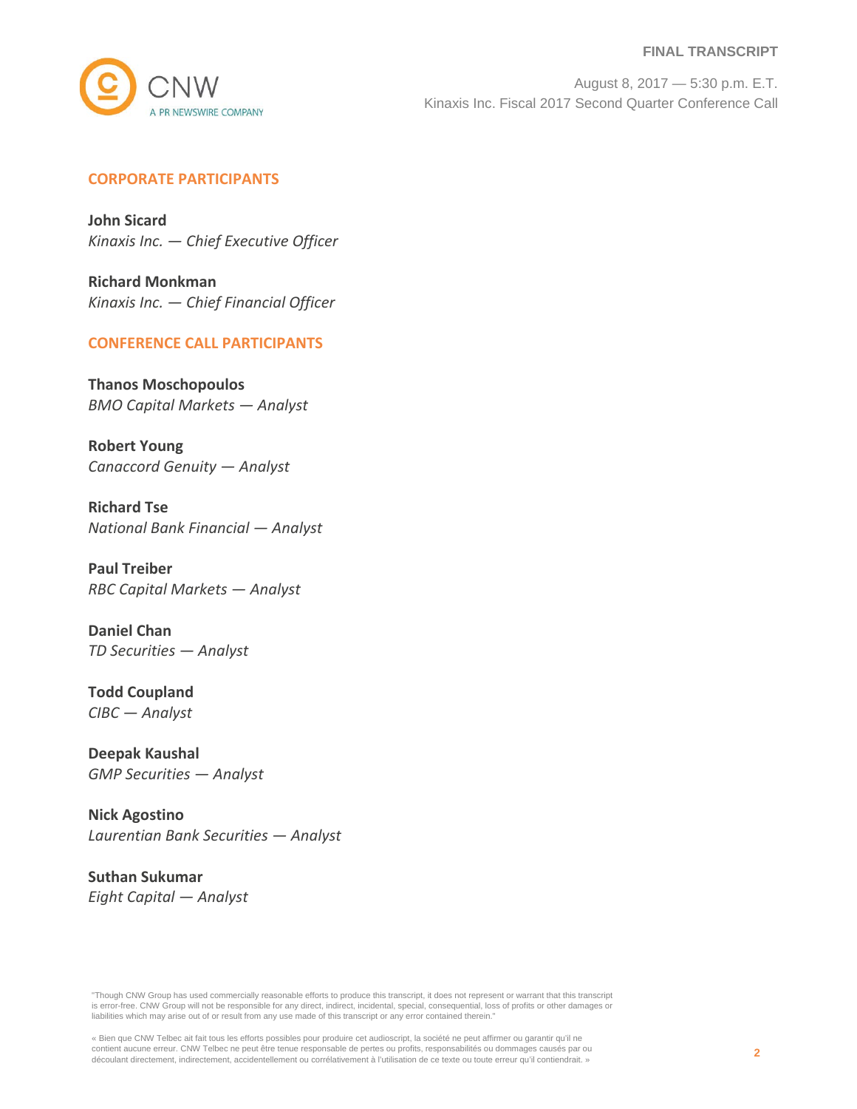#### **FINAL TRANSCRIPT**



August 8, 2017 — 5:30 p.m. E.T. Kinaxis Inc. Fiscal 2017 Second Quarter Conference Call

## **CORPORATE PARTICIPANTS**

**John Sicard** *Kinaxis Inc. — Chief Executive Officer*

**Richard Monkman** *Kinaxis Inc. — Chief Financial Officer*

## **CONFERENCE CALL PARTICIPANTS**

**Thanos Moschopoulos** *BMO Capital Markets — Analyst*

**Robert Young** *Canaccord Genuity — Analyst*

**Richard Tse** *National Bank Financial — Analyst*

**Paul Treiber** *RBC Capital Markets — Analyst*

**Daniel Chan** *TD Securities — Analyst*

**Todd Coupland** *CIBC — Analyst*

**Deepak Kaushal** *GMP Securities — Analyst*

**Nick Agostino** *Laurentian Bank Securities — Analyst*

**Suthan Sukumar** *Eight Capital — Analyst*

"Though CNW Group has used commercially reasonable efforts to produce this transcript, it does not represent or warrant that this transcript is error-free. CNW Group will not be responsible for any direct, indirect, incidental, special, consequential, loss of profits or other damages or liabilities which may arise out of or result from any use made of this transcript or any error contained therein."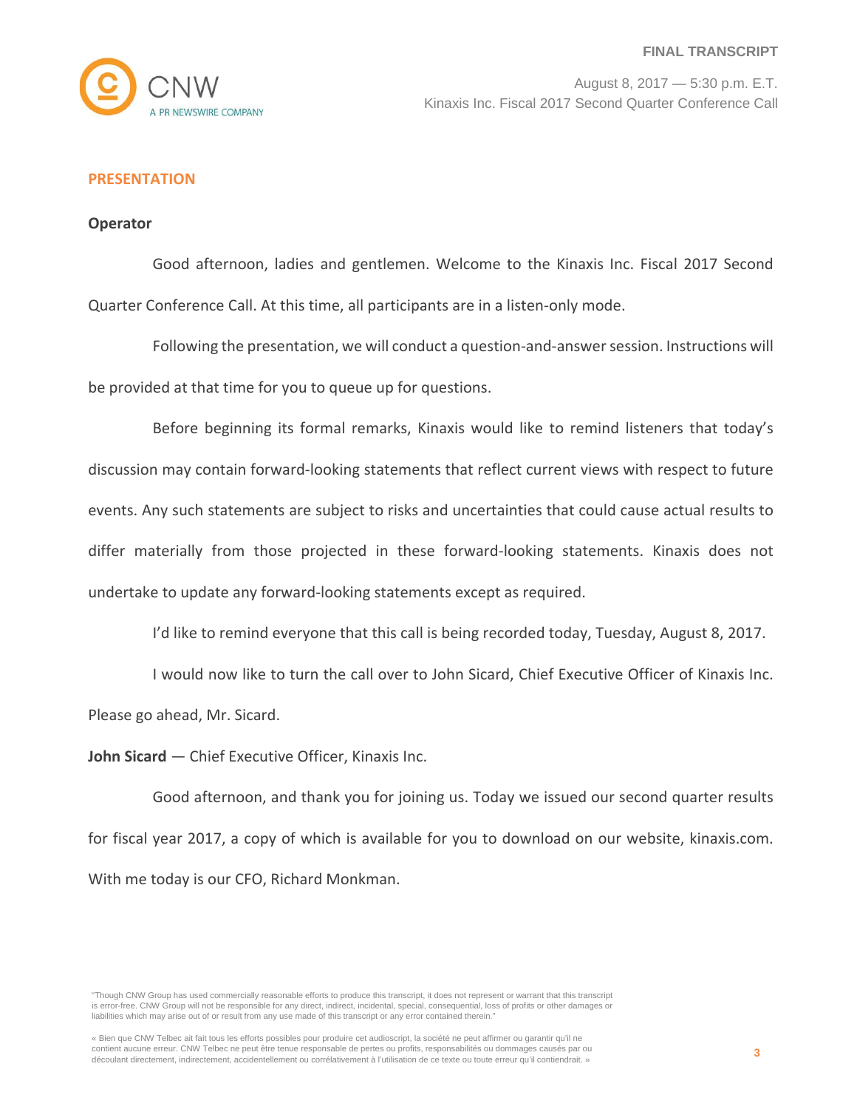

## **PRESENTATION**

## **Operator**

Good afternoon, ladies and gentlemen. Welcome to the Kinaxis Inc. Fiscal 2017 Second Quarter Conference Call. At this time, all participants are in a listen-only mode.

Following the presentation, we will conduct a question-and-answer session. Instructions will be provided at that time for you to queue up for questions.

Before beginning its formal remarks, Kinaxis would like to remind listeners that today's discussion may contain forward-looking statements that reflect current views with respect to future events. Any such statements are subject to risks and uncertainties that could cause actual results to differ materially from those projected in these forward-looking statements. Kinaxis does not undertake to update any forward-looking statements except as required.

I'd like to remind everyone that this call is being recorded today, Tuesday, August 8, 2017.

I would now like to turn the call over to John Sicard, Chief Executive Officer of Kinaxis Inc. Please go ahead, Mr. Sicard.

**John Sicard** — Chief Executive Officer, Kinaxis Inc.

Good afternoon, and thank you for joining us. Today we issued our second quarter results for fiscal year 2017, a copy of which is available for you to download on our website, kinaxis.com. With me today is our CFO, Richard Monkman.

"Though CNW Group has used commercially reasonable efforts to produce this transcript, it does not represent or warrant that this transcript is error-free. CNW Group will not be responsible for any direct, indirect, incidental, special, consequential, loss of profits or other damages or liabilities which may arise out of or result from any use made of this transcript or any error contained therein."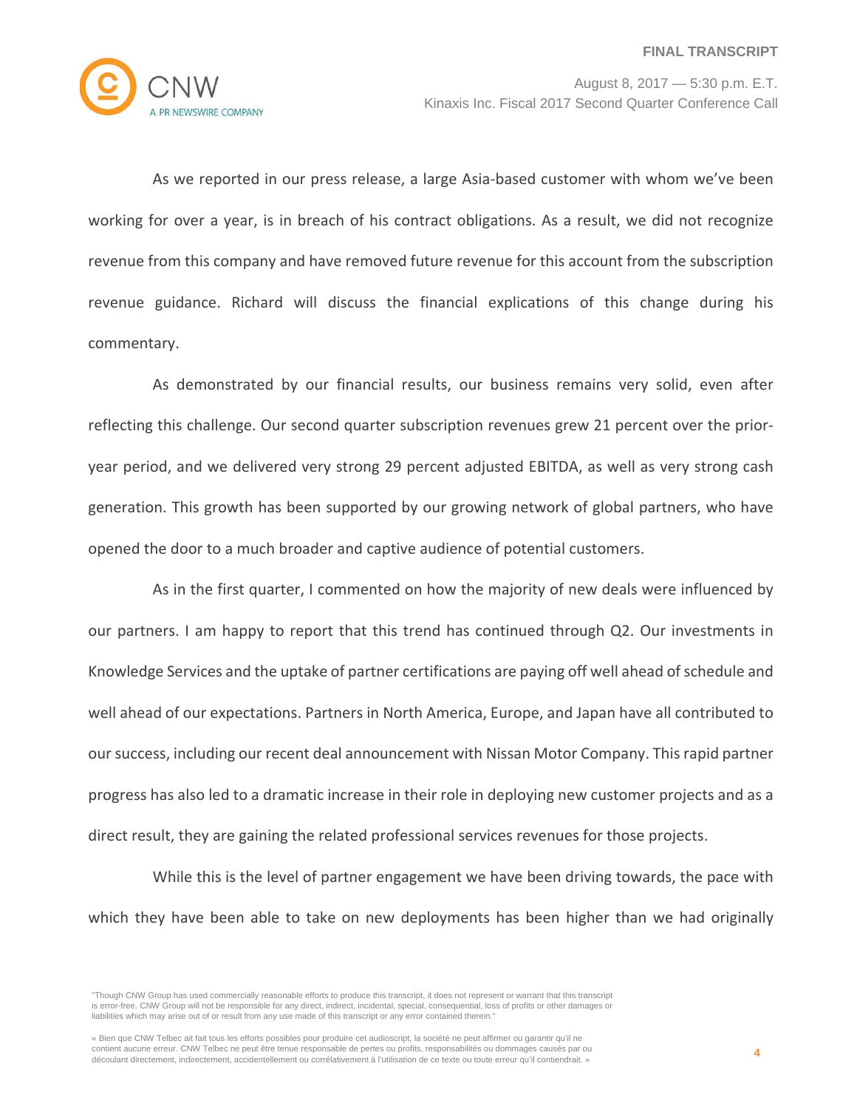

As we reported in our press release, a large Asia-based customer with whom we've been working for over a year, is in breach of his contract obligations. As a result, we did not recognize revenue from this company and have removed future revenue for this account from the subscription revenue guidance. Richard will discuss the financial explications of this change during his commentary.

As demonstrated by our financial results, our business remains very solid, even after reflecting this challenge. Our second quarter subscription revenues grew 21 percent over the prioryear period, and we delivered very strong 29 percent adjusted EBITDA, as well as very strong cash generation. This growth has been supported by our growing network of global partners, who have opened the door to a much broader and captive audience of potential customers.

As in the first quarter, I commented on how the majority of new deals were influenced by our partners. I am happy to report that this trend has continued through Q2. Our investments in Knowledge Services and the uptake of partner certifications are paying off well ahead of schedule and well ahead of our expectations. Partners in North America, Europe, and Japan have all contributed to our success, including our recent deal announcement with Nissan Motor Company. This rapid partner progress has also led to a dramatic increase in their role in deploying new customer projects and as a direct result, they are gaining the related professional services revenues for those projects.

While this is the level of partner engagement we have been driving towards, the pace with which they have been able to take on new deployments has been higher than we had originally

<sup>&</sup>quot;Though CNW Group has used commercially reasonable efforts to produce this transcript, it does not represent or warrant that this transcript is error-free. CNW Group will not be responsible for any direct, indirect, incidental, special, consequential, loss of profits or other damages or liabilities which may arise out of or result from any use made of this transcript or any error contained therein."

<sup>«</sup> Bien que CNW Telbec ait fait tous les efforts possibles pour produire cet audioscript, la société ne peut affirmer ou garantir qu'il ne contient aucune erreur. CNW Telbec ne peut être tenue responsable de pertes ou profits, responsabilités ou dommages causés par ou découlant directement, indirectement, accidentellement ou corrélativement à l'utilisation de ce texte ou toute erreur qu'il contiendrait. »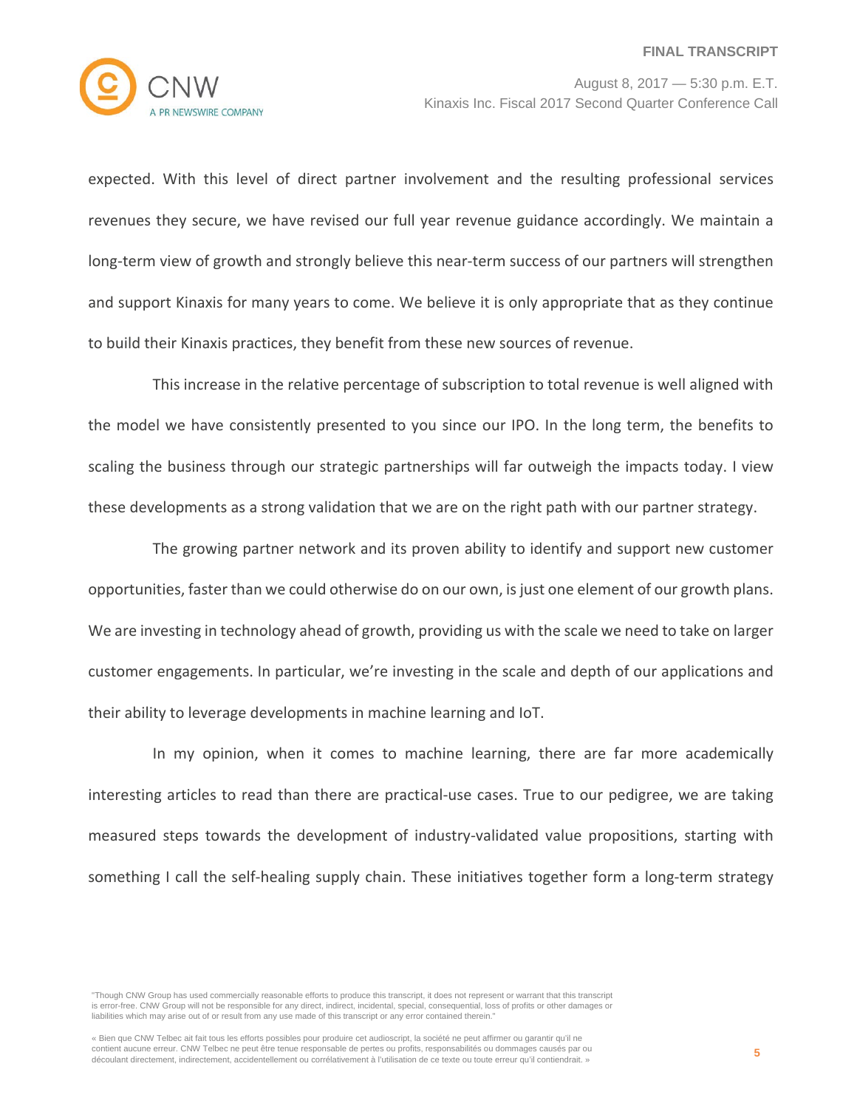

expected. With this level of direct partner involvement and the resulting professional services revenues they secure, we have revised our full year revenue guidance accordingly. We maintain a long-term view of growth and strongly believe this near-term success of our partners will strengthen and support Kinaxis for many years to come. We believe it is only appropriate that as they continue to build their Kinaxis practices, they benefit from these new sources of revenue.

This increase in the relative percentage of subscription to total revenue is well aligned with the model we have consistently presented to you since our IPO. In the long term, the benefits to scaling the business through our strategic partnerships will far outweigh the impacts today. I view these developments as a strong validation that we are on the right path with our partner strategy.

The growing partner network and its proven ability to identify and support new customer opportunities, faster than we could otherwise do on our own, is just one element of our growth plans. We are investing in technology ahead of growth, providing us with the scale we need to take on larger customer engagements. In particular, we're investing in the scale and depth of our applications and their ability to leverage developments in machine learning and IoT.

In my opinion, when it comes to machine learning, there are far more academically interesting articles to read than there are practical-use cases. True to our pedigree, we are taking measured steps towards the development of industry-validated value propositions, starting with something I call the self-healing supply chain. These initiatives together form a long-term strategy

<sup>&</sup>quot;Though CNW Group has used commercially reasonable efforts to produce this transcript, it does not represent or warrant that this transcript is error-free. CNW Group will not be responsible for any direct, indirect, incidental, special, consequential, loss of profits or other damages or liabilities which may arise out of or result from any use made of this transcript or any error contained therein."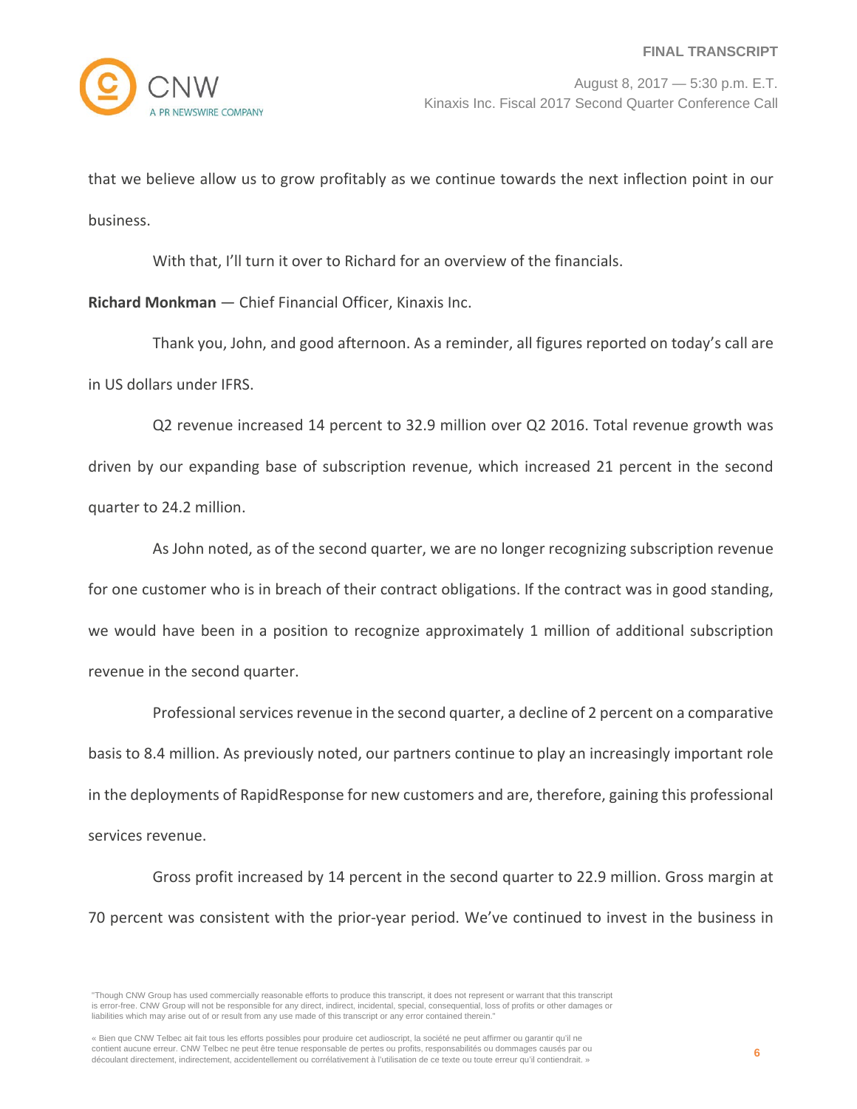

that we believe allow us to grow profitably as we continue towards the next inflection point in our business.

With that, I'll turn it over to Richard for an overview of the financials.

**Richard Monkman** — Chief Financial Officer, Kinaxis Inc.

Thank you, John, and good afternoon. As a reminder, all figures reported on today's call are in US dollars under IFRS.

Q2 revenue increased 14 percent to 32.9 million over Q2 2016. Total revenue growth was driven by our expanding base of subscription revenue, which increased 21 percent in the second quarter to 24.2 million.

As John noted, as of the second quarter, we are no longer recognizing subscription revenue for one customer who is in breach of their contract obligations. If the contract was in good standing, we would have been in a position to recognize approximately 1 million of additional subscription revenue in the second quarter.

Professional services revenue in the second quarter, a decline of 2 percent on a comparative basis to 8.4 million. As previously noted, our partners continue to play an increasingly important role in the deployments of RapidResponse for new customers and are, therefore, gaining this professional services revenue.

Gross profit increased by 14 percent in the second quarter to 22.9 million. Gross margin at 70 percent was consistent with the prior-year period. We've continued to invest in the business in

"Though CNW Group has used commercially reasonable efforts to produce this transcript, it does not represent or warrant that this transcript is error-free. CNW Group will not be responsible for any direct, indirect, incidental, special, consequential, loss of profits or other damages or liabilities which may arise out of or result from any use made of this transcript or any error contained therein."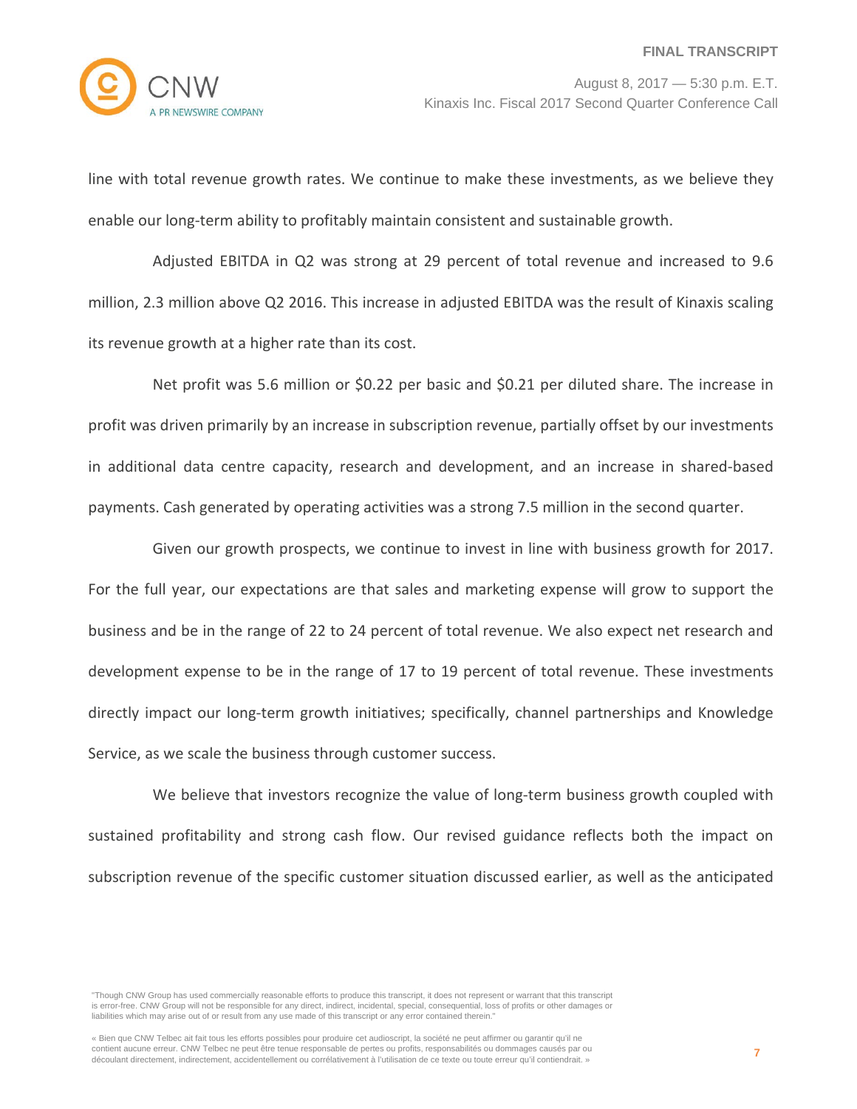

line with total revenue growth rates. We continue to make these investments, as we believe they enable our long-term ability to profitably maintain consistent and sustainable growth.

Adjusted EBITDA in Q2 was strong at 29 percent of total revenue and increased to 9.6 million, 2.3 million above Q2 2016. This increase in adjusted EBITDA was the result of Kinaxis scaling its revenue growth at a higher rate than its cost.

Net profit was 5.6 million or \$0.22 per basic and \$0.21 per diluted share. The increase in profit was driven primarily by an increase in subscription revenue, partially offset by our investments in additional data centre capacity, research and development, and an increase in shared-based payments. Cash generated by operating activities was a strong 7.5 million in the second quarter.

Given our growth prospects, we continue to invest in line with business growth for 2017. For the full year, our expectations are that sales and marketing expense will grow to support the business and be in the range of 22 to 24 percent of total revenue. We also expect net research and development expense to be in the range of 17 to 19 percent of total revenue. These investments directly impact our long-term growth initiatives; specifically, channel partnerships and Knowledge Service, as we scale the business through customer success.

We believe that investors recognize the value of long-term business growth coupled with sustained profitability and strong cash flow. Our revised guidance reflects both the impact on subscription revenue of the specific customer situation discussed earlier, as well as the anticipated

<sup>&</sup>quot;Though CNW Group has used commercially reasonable efforts to produce this transcript, it does not represent or warrant that this transcript is error-free. CNW Group will not be responsible for any direct, indirect, incidental, special, consequential, loss of profits or other damages or liabilities which may arise out of or result from any use made of this transcript or any error contained therein."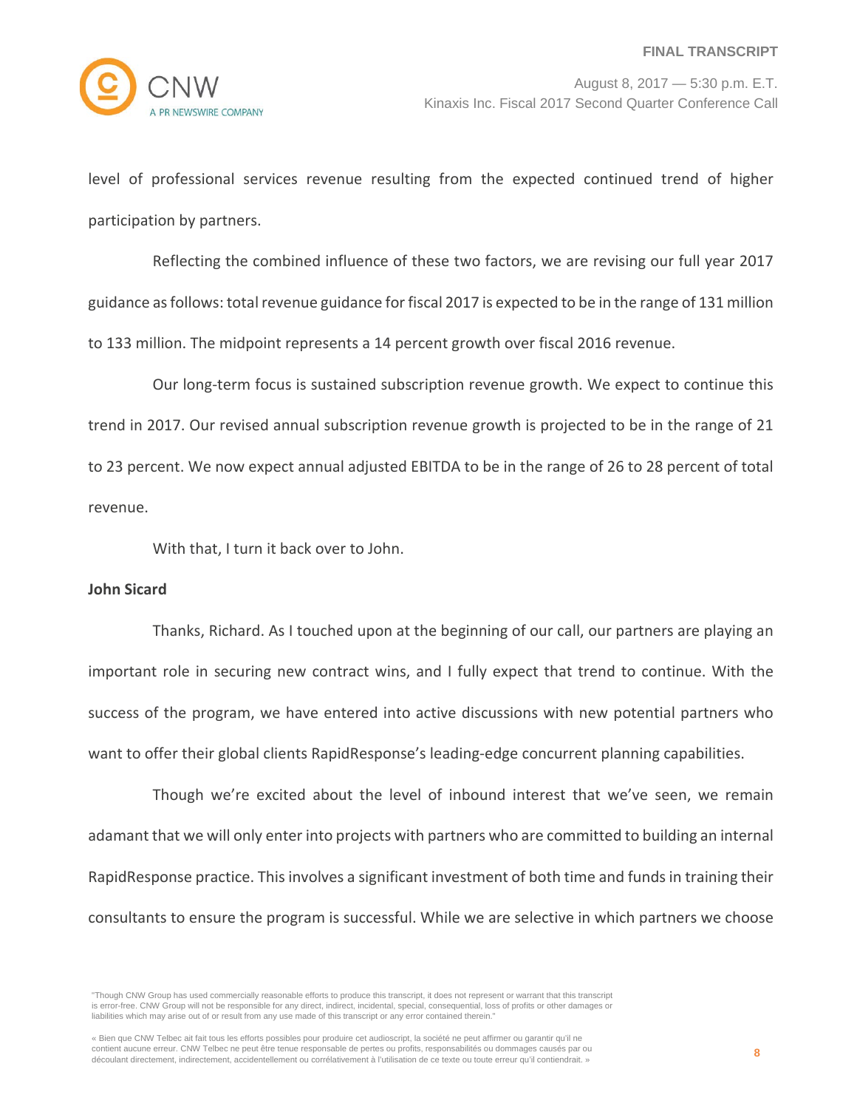level of professional services revenue resulting from the expected continued trend of higher participation by partners.

Reflecting the combined influence of these two factors, we are revising our full year 2017 guidance as follows: total revenue guidance for fiscal 2017 is expected to be in the range of 131 million to 133 million. The midpoint represents a 14 percent growth over fiscal 2016 revenue.

Our long-term focus is sustained subscription revenue growth. We expect to continue this trend in 2017. Our revised annual subscription revenue growth is projected to be in the range of 21 to 23 percent. We now expect annual adjusted EBITDA to be in the range of 26 to 28 percent of total revenue.

With that, I turn it back over to John.

## **John Sicard**

Thanks, Richard. As I touched upon at the beginning of our call, our partners are playing an important role in securing new contract wins, and I fully expect that trend to continue. With the success of the program, we have entered into active discussions with new potential partners who want to offer their global clients RapidResponse's leading-edge concurrent planning capabilities.

Though we're excited about the level of inbound interest that we've seen, we remain adamant that we will only enter into projects with partners who are committed to building an internal RapidResponse practice. This involves a significant investment of both time and funds in training their consultants to ensure the program is successful. While we are selective in which partners we choose

"Though CNW Group has used commercially reasonable efforts to produce this transcript, it does not represent or warrant that this transcript is error-free. CNW Group will not be responsible for any direct, indirect, incidental, special, consequential, loss of profits or other damages or liabilities which may arise out of or result from any use made of this transcript or any error contained therein."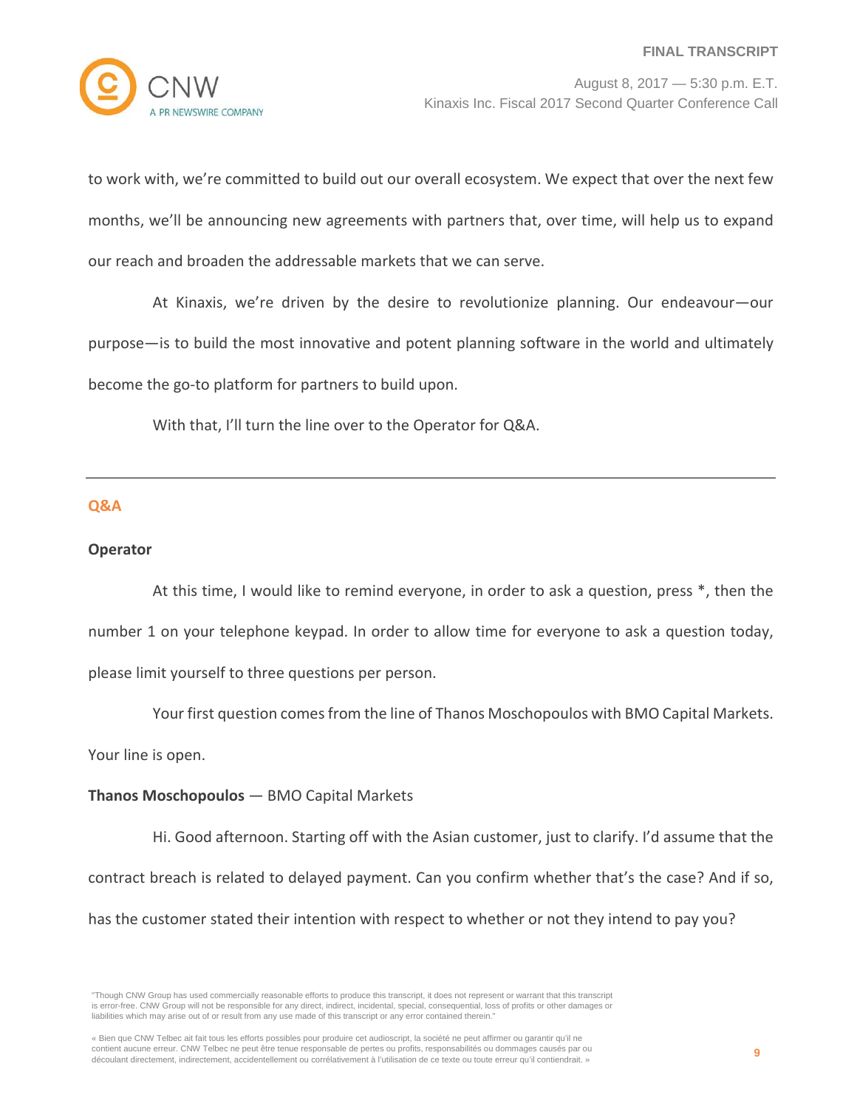to work with, we're committed to build out our overall ecosystem. We expect that over the next few months, we'll be announcing new agreements with partners that, over time, will help us to expand our reach and broaden the addressable markets that we can serve.

At Kinaxis, we're driven by the desire to revolutionize planning. Our endeavour—our purpose—is to build the most innovative and potent planning software in the world and ultimately become the go-to platform for partners to build upon.

With that, I'll turn the line over to the Operator for Q&A.

#### **Q&A**

## **Operator**

At this time, I would like to remind everyone, in order to ask a question, press \*, then the number 1 on your telephone keypad. In order to allow time for everyone to ask a question today, please limit yourself to three questions per person.

Your first question comes from the line of Thanos Moschopoulos with BMO Capital Markets.

Your line is open.

## **Thanos Moschopoulos** — BMO Capital Markets

Hi. Good afternoon. Starting off with the Asian customer, just to clarify. I'd assume that the contract breach is related to delayed payment. Can you confirm whether that's the case? And if so, has the customer stated their intention with respect to whether or not they intend to pay you?

<sup>&</sup>quot;Though CNW Group has used commercially reasonable efforts to produce this transcript, it does not represent or warrant that this transcript is error-free. CNW Group will not be responsible for any direct, indirect, incidental, special, consequential, loss of profits or other damages or liabilities which may arise out of or result from any use made of this transcript or any error contained therein."

<sup>«</sup> Bien que CNW Telbec ait fait tous les efforts possibles pour produire cet audioscript, la société ne peut affirmer ou garantir qu'il ne contient aucune erreur. CNW Telbec ne peut être tenue responsable de pertes ou profits, responsabilités ou dommages causés par ou découlant directement, indirectement, accidentellement ou corrélativement à l'utilisation de ce texte ou toute erreur qu'il contiendrait. »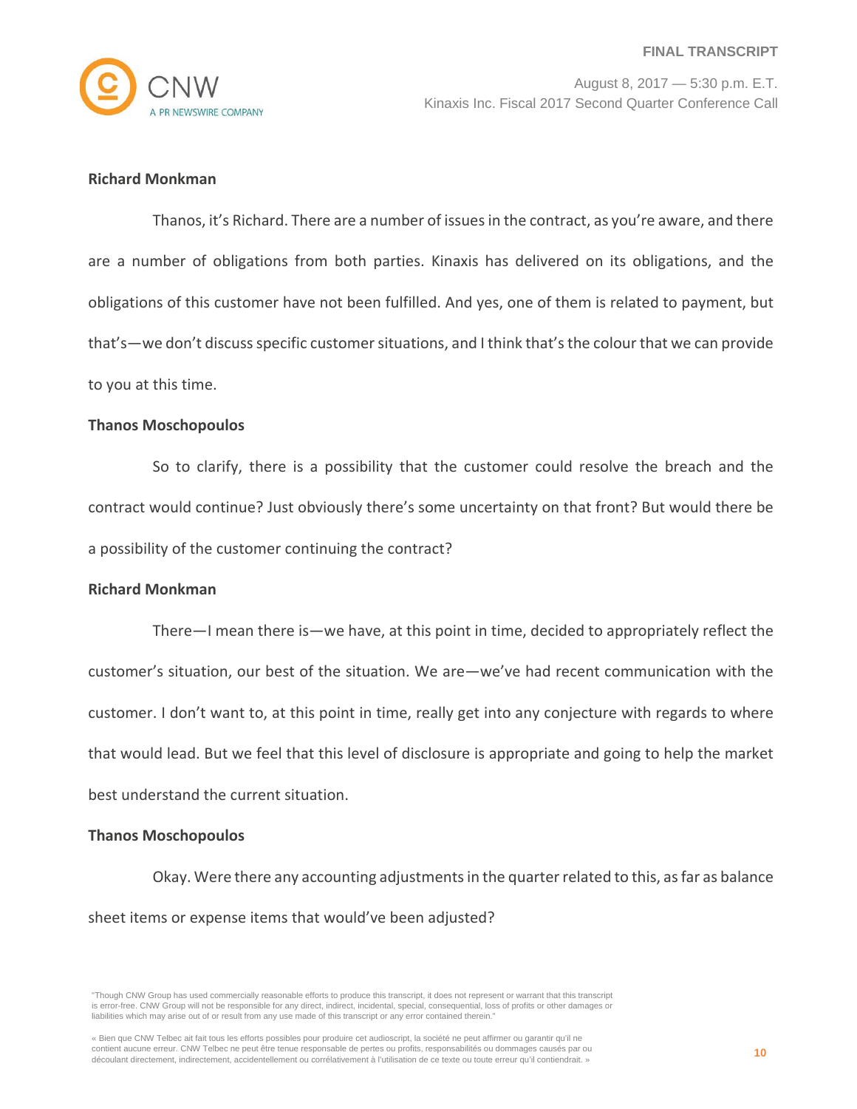

# **Richard Monkman**

Thanos, it's Richard. There are a number of issues in the contract, as you're aware, and there are a number of obligations from both parties. Kinaxis has delivered on its obligations, and the obligations of this customer have not been fulfilled. And yes, one of them is related to payment, but that's—we don't discuss specific customer situations, and I think that's the colour that we can provide to you at this time.

#### **Thanos Moschopoulos**

So to clarify, there is a possibility that the customer could resolve the breach and the contract would continue? Just obviously there's some uncertainty on that front? But would there be a possibility of the customer continuing the contract?

#### **Richard Monkman**

There—I mean there is—we have, at this point in time, decided to appropriately reflect the customer's situation, our best of the situation. We are—we've had recent communication with the customer. I don't want to, at this point in time, really get into any conjecture with regards to where that would lead. But we feel that this level of disclosure is appropriate and going to help the market best understand the current situation.

#### **Thanos Moschopoulos**

Okay. Were there any accounting adjustments in the quarter related to this, as far as balance sheet items or expense items that would've been adjusted?

<sup>&</sup>quot;Though CNW Group has used commercially reasonable efforts to produce this transcript, it does not represent or warrant that this transcript is error-free. CNW Group will not be responsible for any direct, indirect, incidental, special, consequential, loss of profits or other damages or liabilities which may arise out of or result from any use made of this transcript or any error contained therein."

<sup>«</sup> Bien que CNW Telbec ait fait tous les efforts possibles pour produire cet audioscript, la société ne peut affirmer ou garantir qu'il ne contient aucune erreur. CNW Telbec ne peut être tenue responsable de pertes ou profits, responsabilités ou dommages causés par ou découlant directement, indirectement, accidentellement ou corrélativement à l'utilisation de ce texte ou toute erreur qu'il contiendrait. »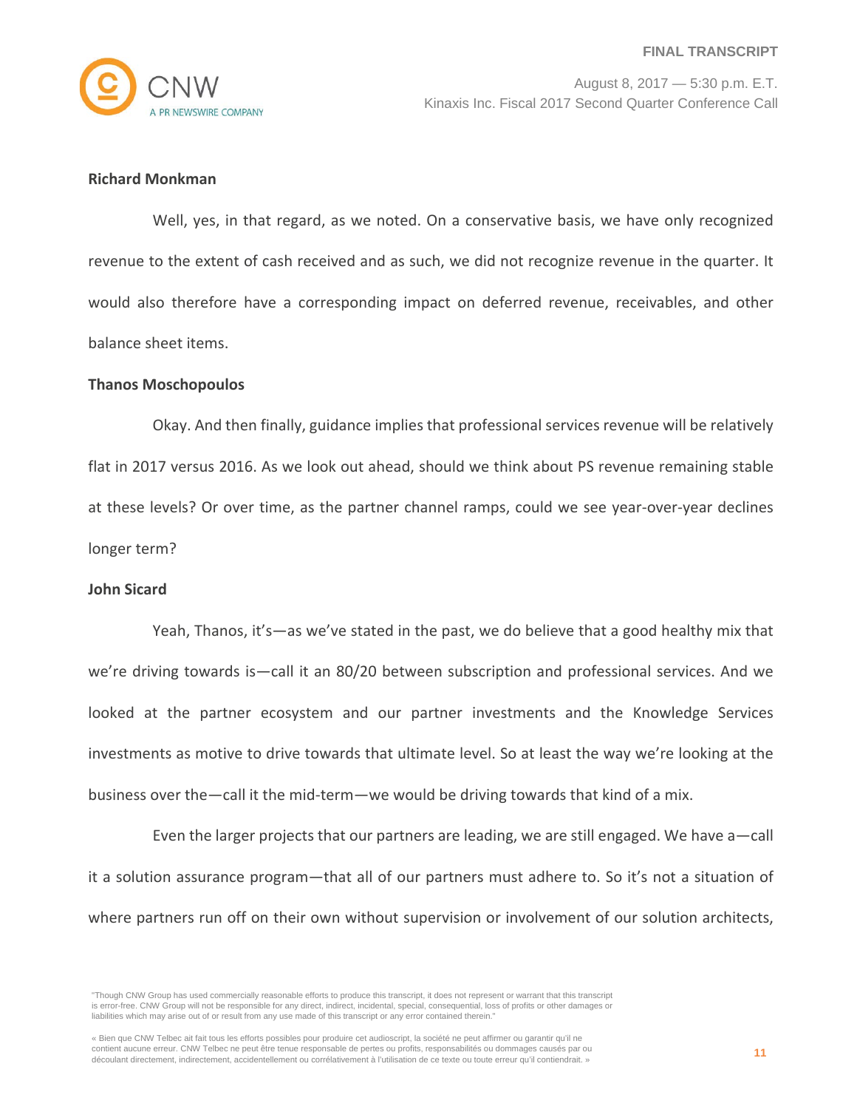

# **Richard Monkman**

Well, yes, in that regard, as we noted. On a conservative basis, we have only recognized revenue to the extent of cash received and as such, we did not recognize revenue in the quarter. It would also therefore have a corresponding impact on deferred revenue, receivables, and other balance sheet items.

#### **Thanos Moschopoulos**

Okay. And then finally, guidance implies that professional services revenue will be relatively flat in 2017 versus 2016. As we look out ahead, should we think about PS revenue remaining stable at these levels? Or over time, as the partner channel ramps, could we see year-over-year declines longer term?

#### **John Sicard**

Yeah, Thanos, it's—as we've stated in the past, we do believe that a good healthy mix that we're driving towards is—call it an 80/20 between subscription and professional services. And we looked at the partner ecosystem and our partner investments and the Knowledge Services investments as motive to drive towards that ultimate level. So at least the way we're looking at the business over the—call it the mid-term—we would be driving towards that kind of a mix.

Even the larger projects that our partners are leading, we are still engaged. We have a—call it a solution assurance program—that all of our partners must adhere to. So it's not a situation of where partners run off on their own without supervision or involvement of our solution architects,

<sup>&</sup>quot;Though CNW Group has used commercially reasonable efforts to produce this transcript, it does not represent or warrant that this transcript is error-free. CNW Group will not be responsible for any direct, indirect, incidental, special, consequential, loss of profits or other damages or liabilities which may arise out of or result from any use made of this transcript or any error contained therein."

<sup>«</sup> Bien que CNW Telbec ait fait tous les efforts possibles pour produire cet audioscript, la société ne peut affirmer ou garantir qu'il ne contient aucune erreur. CNW Telbec ne peut être tenue responsable de pertes ou profits, responsabilités ou dommages causés par ou découlant directement, indirectement, accidentellement ou corrélativement à l'utilisation de ce texte ou toute erreur qu'il contiendrait. »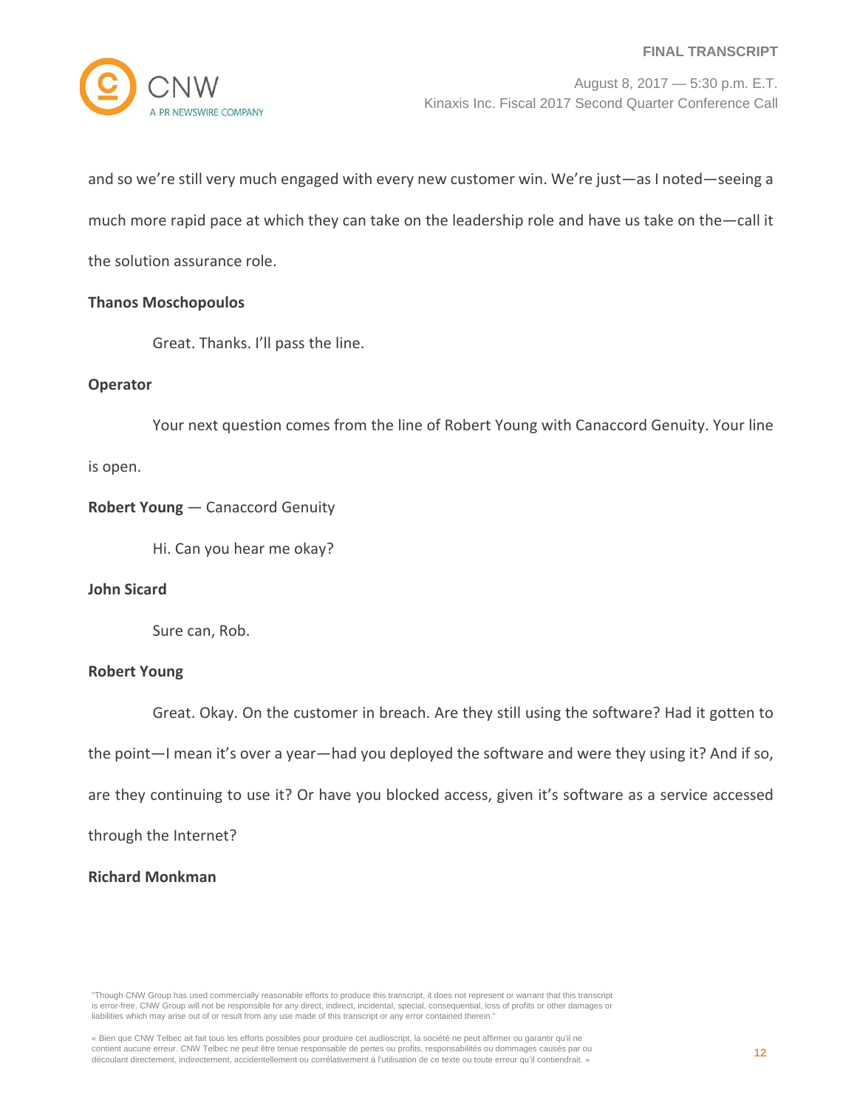

and so we're still very much engaged with every new customer win. We're just—as I noted—seeing a much more rapid pace at which they can take on the leadership role and have us take on the—call it the solution assurance role.

## **Thanos Moschopoulos**

Great. Thanks. I'll pass the line.

## **Operator**

Your next question comes from the line of Robert Young with Canaccord Genuity. Your line

is open.

# **Robert Young** — Canaccord Genuity

Hi. Can you hear me okay?

# **John Sicard**

Sure can, Rob.

## **Robert Young**

Great. Okay. On the customer in breach. Are they still using the software? Had it gotten to

the point—I mean it's over a year—had you deployed the software and were they using it? And if so,

are they continuing to use it? Or have you blocked access, given it's software as a service accessed

through the Internet?

# **Richard Monkman**

"Though CNW Group has used commercially reasonable efforts to produce this transcript, it does not represent or warrant that this transcript is error-free. CNW Group will not be responsible for any direct, indirect, incidental, special, consequential, loss of profits or other damages or liabilities which may arise out of or result from any use made of this transcript or any error contained therein."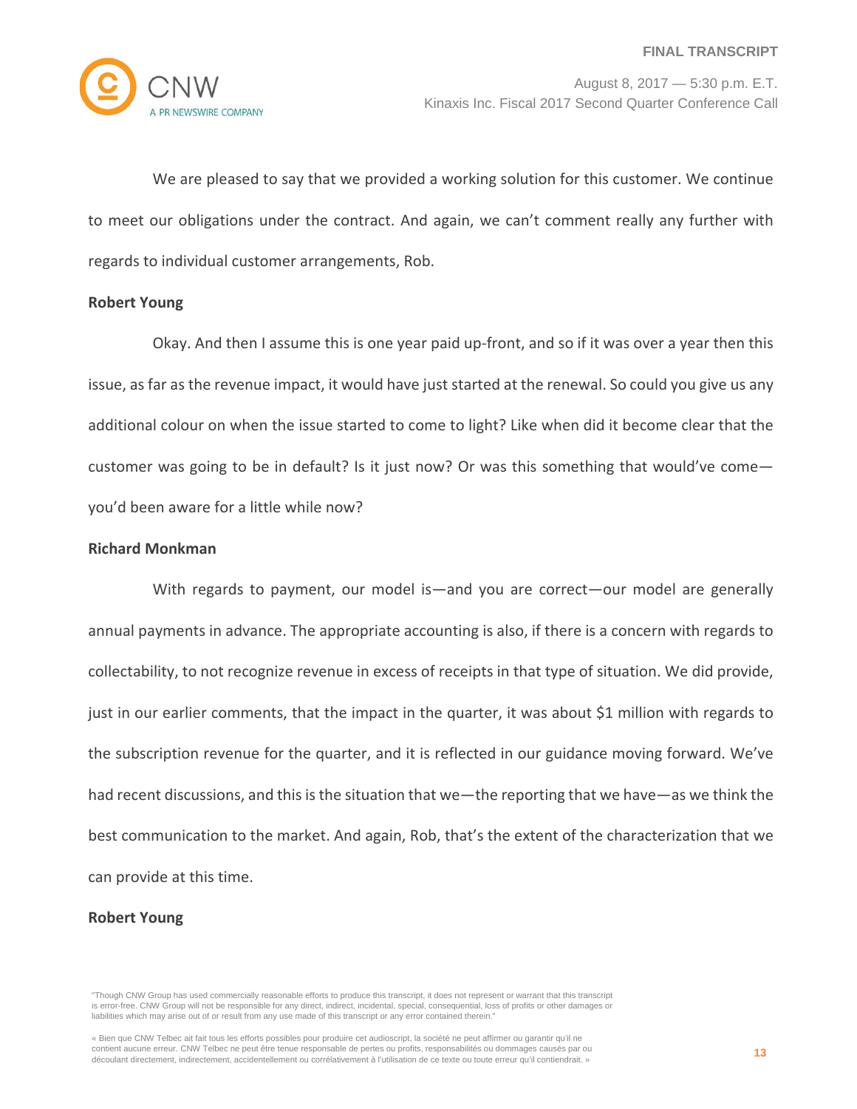

We are pleased to say that we provided a working solution for this customer. We continue to meet our obligations under the contract. And again, we can't comment really any further with regards to individual customer arrangements, Rob.

#### **Robert Young**

Okay. And then I assume this is one year paid up-front, and so if it was over a year then this issue, as far as the revenue impact, it would have just started at the renewal. So could you give us any additional colour on when the issue started to come to light? Like when did it become clear that the customer was going to be in default? Is it just now? Or was this something that would've come you'd been aware for a little while now?

#### **Richard Monkman**

With regards to payment, our model is—and you are correct—our model are generally annual payments in advance. The appropriate accounting is also, if there is a concern with regards to collectability, to not recognize revenue in excess of receipts in that type of situation. We did provide, just in our earlier comments, that the impact in the quarter, it was about \$1 million with regards to the subscription revenue for the quarter, and it is reflected in our guidance moving forward. We've had recent discussions, and this is the situation that we—the reporting that we have—as we think the best communication to the market. And again, Rob, that's the extent of the characterization that we can provide at this time.

## **Robert Young**

<sup>&</sup>quot;Though CNW Group has used commercially reasonable efforts to produce this transcript, it does not represent or warrant that this transcript is error-free. CNW Group will not be responsible for any direct, indirect, incidental, special, consequential, loss of profits or other damages or liabilities which may arise out of or result from any use made of this transcript or any error contained therein."

<sup>«</sup> Bien que CNW Telbec ait fait tous les efforts possibles pour produire cet audioscript, la société ne peut affirmer ou garantir qu'il ne contient aucune erreur. CNW Telbec ne peut être tenue responsable de pertes ou profits, responsabilités ou dommages causés par ou découlant directement, indirectement, accidentellement ou corrélativement à l'utilisation de ce texte ou toute erreur qu'il contiendrait. »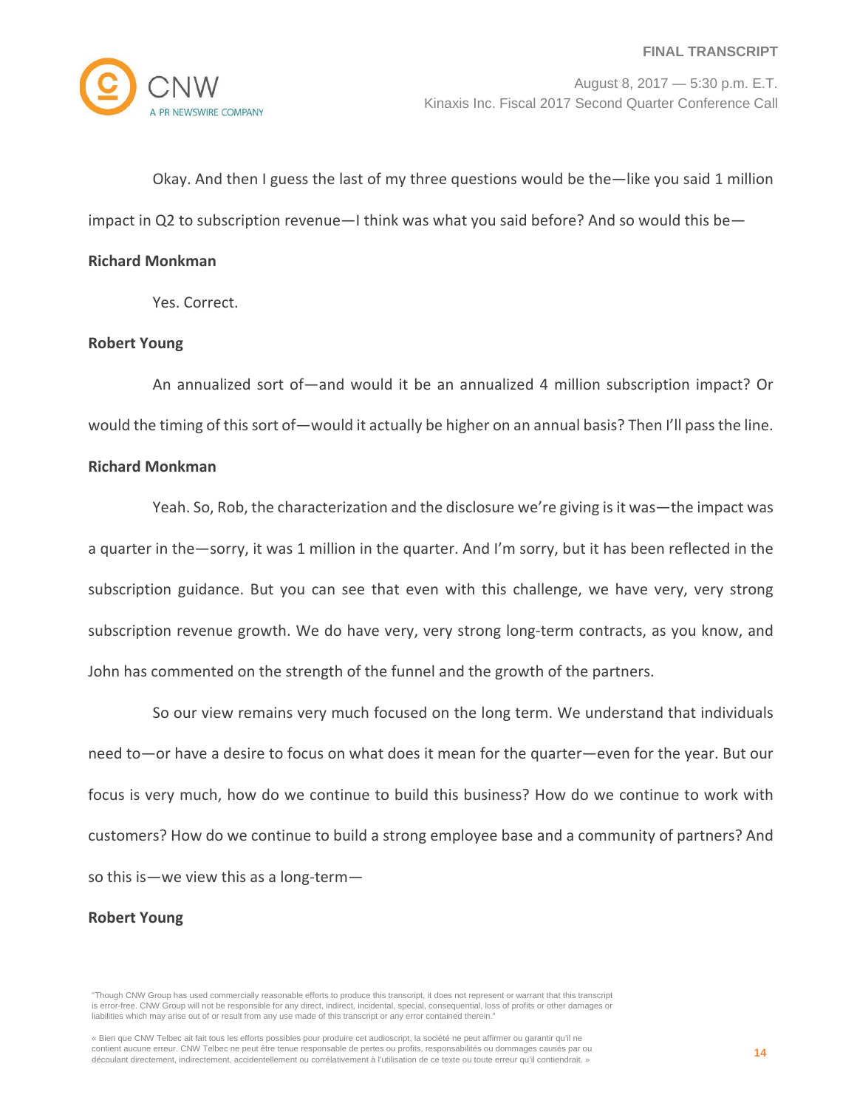Okay. And then I guess the last of my three questions would be the—like you said 1 million impact in Q2 to subscription revenue—I think was what you said before? And so would this be—

#### **Richard Monkman**

Yes. Correct.

## **Robert Young**

An annualized sort of—and would it be an annualized 4 million subscription impact? Or would the timing of this sort of—would it actually be higher on an annual basis? Then I'll pass the line.

## **Richard Monkman**

Yeah. So, Rob, the characterization and the disclosure we're giving is it was—the impact was a quarter in the—sorry, it was 1 million in the quarter. And I'm sorry, but it has been reflected in the subscription guidance. But you can see that even with this challenge, we have very, very strong subscription revenue growth. We do have very, very strong long-term contracts, as you know, and John has commented on the strength of the funnel and the growth of the partners.

So our view remains very much focused on the long term. We understand that individuals need to—or have a desire to focus on what does it mean for the quarter—even for the year. But our focus is very much, how do we continue to build this business? How do we continue to work with customers? How do we continue to build a strong employee base and a community of partners? And so this is—we view this as a long-term—

## **Robert Young**

<sup>&</sup>quot;Though CNW Group has used commercially reasonable efforts to produce this transcript, it does not represent or warrant that this transcript is error-free. CNW Group will not be responsible for any direct, indirect, incidental, special, consequential, loss of profits or other damages or liabilities which may arise out of or result from any use made of this transcript or any error contained therein."

<sup>«</sup> Bien que CNW Telbec ait fait tous les efforts possibles pour produire cet audioscript, la société ne peut affirmer ou garantir qu'il ne contient aucune erreur. CNW Telbec ne peut être tenue responsable de pertes ou profits, responsabilités ou dommages causés par ou découlant directement, indirectement, accidentellement ou corrélativement à l'utilisation de ce texte ou toute erreur qu'il contiendrait. »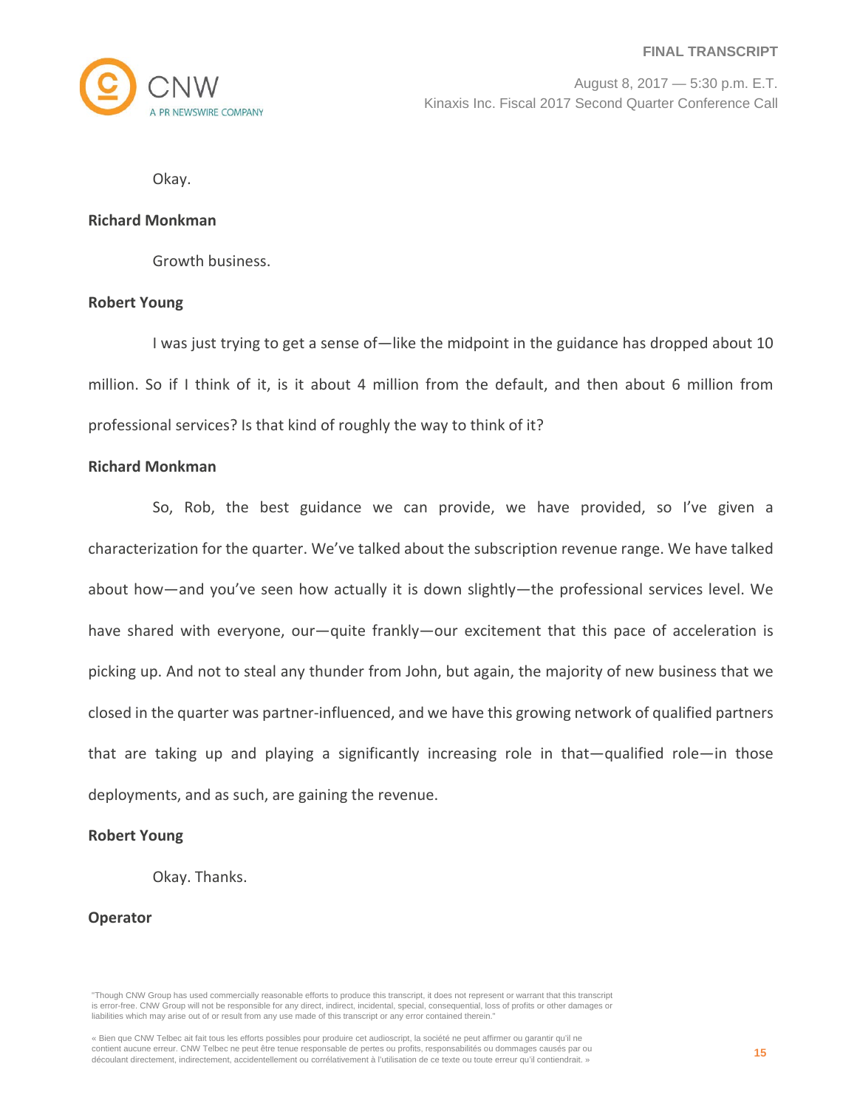

Okay.

#### **Richard Monkman**

Growth business.

#### **Robert Young**

I was just trying to get a sense of—like the midpoint in the guidance has dropped about 10 million. So if I think of it, is it about 4 million from the default, and then about 6 million from professional services? Is that kind of roughly the way to think of it?

#### **Richard Monkman**

So, Rob, the best guidance we can provide, we have provided, so I've given a characterization for the quarter. We've talked about the subscription revenue range. We have talked about how—and you've seen how actually it is down slightly—the professional services level. We have shared with everyone, our—quite frankly—our excitement that this pace of acceleration is picking up. And not to steal any thunder from John, but again, the majority of new business that we closed in the quarter was partner-influenced, and we have this growing network of qualified partners that are taking up and playing a significantly increasing role in that—qualified role—in those deployments, and as such, are gaining the revenue.

#### **Robert Young**

Okay. Thanks.

## **Operator**

"Though CNW Group has used commercially reasonable efforts to produce this transcript, it does not represent or warrant that this transcript is error-free. CNW Group will not be responsible for any direct, indirect, incidental, special, consequential, loss of profits or other damages or liabilities which may arise out of or result from any use made of this transcript or any error contained therein."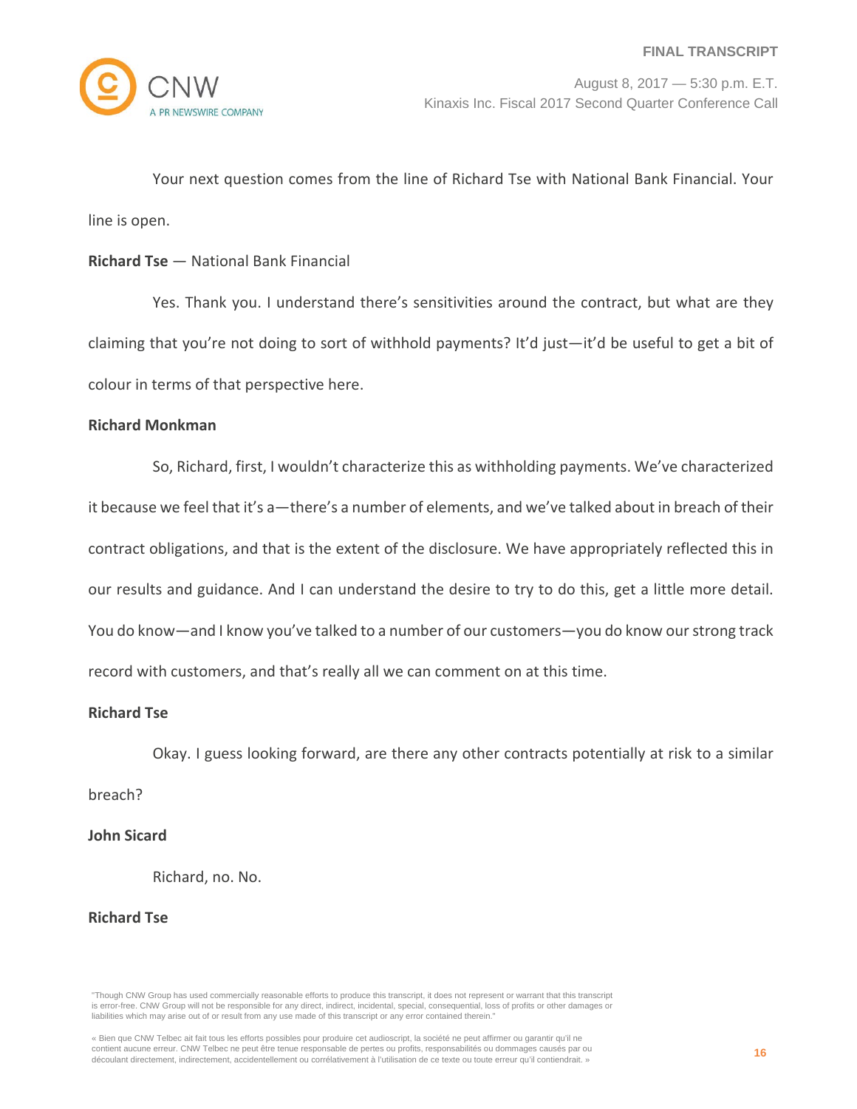

Your next question comes from the line of Richard Tse with National Bank Financial. Your line is open.

# **Richard Tse** — National Bank Financial

Yes. Thank you. I understand there's sensitivities around the contract, but what are they claiming that you're not doing to sort of withhold payments? It'd just—it'd be useful to get a bit of colour in terms of that perspective here.

## **Richard Monkman**

So, Richard, first, I wouldn't characterize this as withholding payments. We've characterized it because we feel that it's a—there's a number of elements, and we've talked about in breach of their contract obligations, and that is the extent of the disclosure. We have appropriately reflected this in our results and guidance. And I can understand the desire to try to do this, get a little more detail. You do know—and I know you've talked to a number of our customers—you do know our strong track record with customers, and that's really all we can comment on at this time.

## **Richard Tse**

Okay. I guess looking forward, are there any other contracts potentially at risk to a similar breach?

## **John Sicard**

Richard, no. No.

## **Richard Tse**

"Though CNW Group has used commercially reasonable efforts to produce this transcript, it does not represent or warrant that this transcript is error-free. CNW Group will not be responsible for any direct, indirect, incidental, special, consequential, loss of profits or other damages or liabilities which may arise out of or result from any use made of this transcript or any error contained therein."

<sup>«</sup> Bien que CNW Telbec ait fait tous les efforts possibles pour produire cet audioscript, la société ne peut affirmer ou garantir qu'il ne contient aucune erreur. CNW Telbec ne peut être tenue responsable de pertes ou profits, responsabilités ou dommages causés par ou découlant directement, indirectement, accidentellement ou corrélativement à l'utilisation de ce texte ou toute erreur qu'il contiendrait. »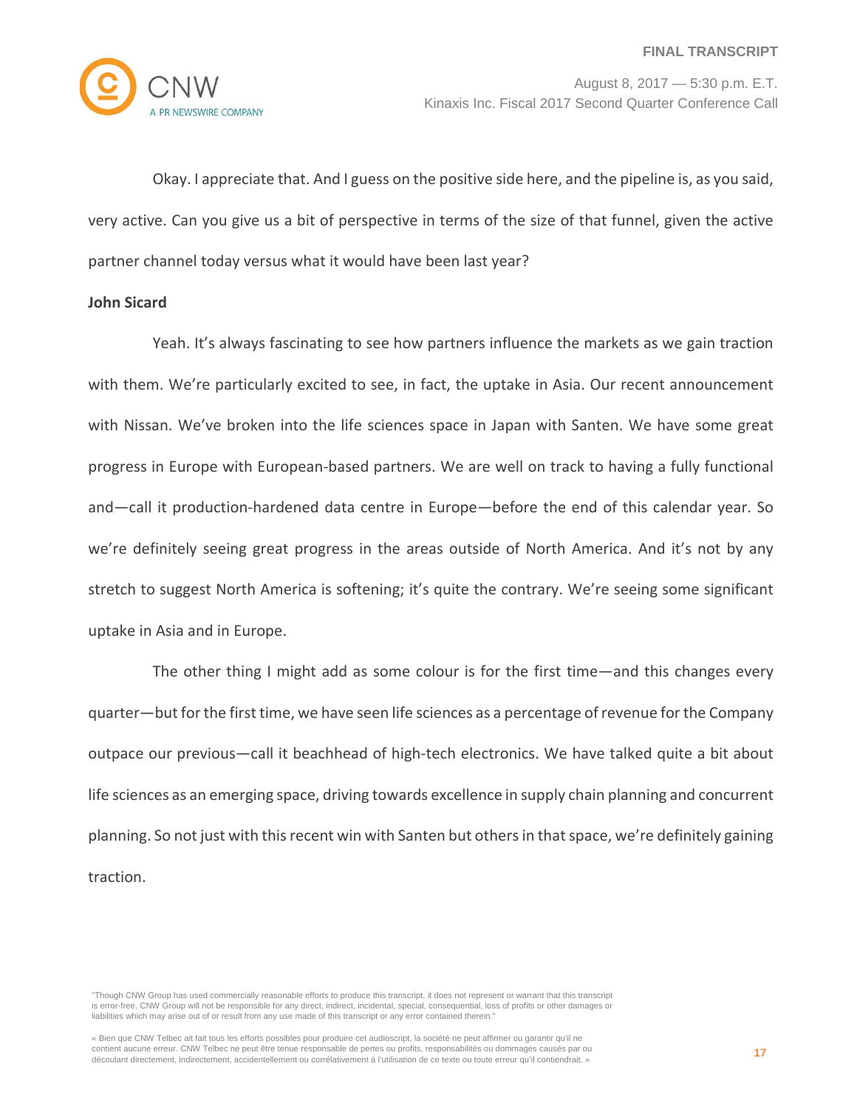

Okay. I appreciate that. And I guess on the positive side here, and the pipeline is, as you said, very active. Can you give us a bit of perspective in terms of the size of that funnel, given the active partner channel today versus what it would have been last year?

## **John Sicard**

Yeah. It's always fascinating to see how partners influence the markets as we gain traction with them. We're particularly excited to see, in fact, the uptake in Asia. Our recent announcement with Nissan. We've broken into the life sciences space in Japan with Santen. We have some great progress in Europe with European-based partners. We are well on track to having a fully functional and—call it production-hardened data centre in Europe—before the end of this calendar year. So we're definitely seeing great progress in the areas outside of North America. And it's not by any stretch to suggest North America is softening; it's quite the contrary. We're seeing some significant uptake in Asia and in Europe.

The other thing I might add as some colour is for the first time—and this changes every quarter—but for the first time, we have seen life sciences as a percentage of revenue for the Company outpace our previous—call it beachhead of high-tech electronics. We have talked quite a bit about life sciences as an emerging space, driving towards excellence in supply chain planning and concurrent planning. So not just with this recent win with Santen but others in that space, we're definitely gaining traction.

"Though CNW Group has used commercially reasonable efforts to produce this transcript, it does not represent or warrant that this transcript is error-free. CNW Group will not be responsible for any direct, indirect, incidental, special, consequential, loss of profits or other damages or liabilities which may arise out of or result from any use made of this transcript or any error contained therein."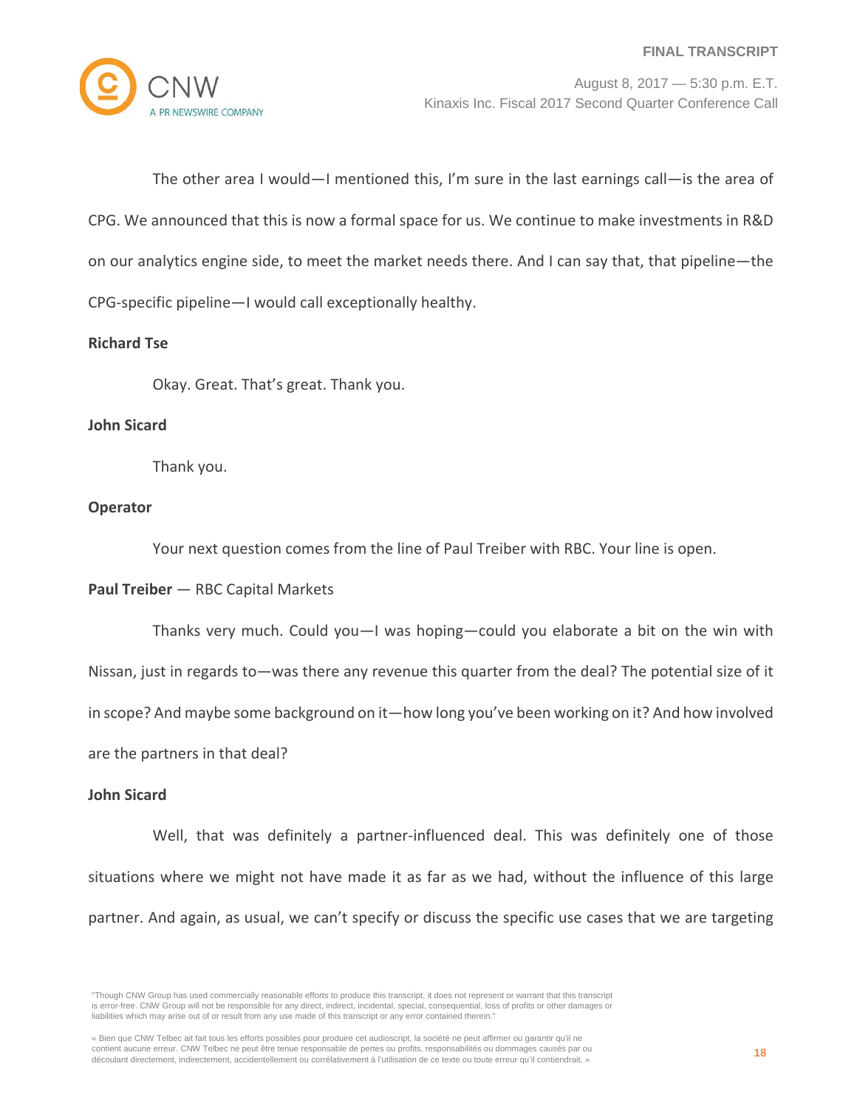

The other area I would—I mentioned this, I'm sure in the last earnings call—is the area of CPG. We announced that this is now a formal space for us. We continue to make investments in R&D on our analytics engine side, to meet the market needs there. And I can say that, that pipeline—the CPG-specific pipeline—I would call exceptionally healthy.

## **Richard Tse**

Okay. Great. That's great. Thank you.

## **John Sicard**

Thank you.

## **Operator**

Your next question comes from the line of Paul Treiber with RBC. Your line is open.

## **Paul Treiber** — RBC Capital Markets

Thanks very much. Could you—I was hoping—could you elaborate a bit on the win with Nissan, just in regards to—was there any revenue this quarter from the deal? The potential size of it in scope? And maybe some background on it—how long you've been working on it? And how involved are the partners in that deal?

## **John Sicard**

Well, that was definitely a partner-influenced deal. This was definitely one of those situations where we might not have made it as far as we had, without the influence of this large partner. And again, as usual, we can't specify or discuss the specific use cases that we are targeting

<sup>&</sup>quot;Though CNW Group has used commercially reasonable efforts to produce this transcript, it does not represent or warrant that this transcript is error-free. CNW Group will not be responsible for any direct, indirect, incidental, special, consequential, loss of profits or other damages or liabilities which may arise out of or result from any use made of this transcript or any error contained therein."

<sup>«</sup> Bien que CNW Telbec ait fait tous les efforts possibles pour produire cet audioscript, la société ne peut affirmer ou garantir qu'il ne contient aucune erreur. CNW Telbec ne peut être tenue responsable de pertes ou profits, responsabilités ou dommages causés par ou découlant directement, indirectement, accidentellement ou corrélativement à l'utilisation de ce texte ou toute erreur qu'il contiendrait. »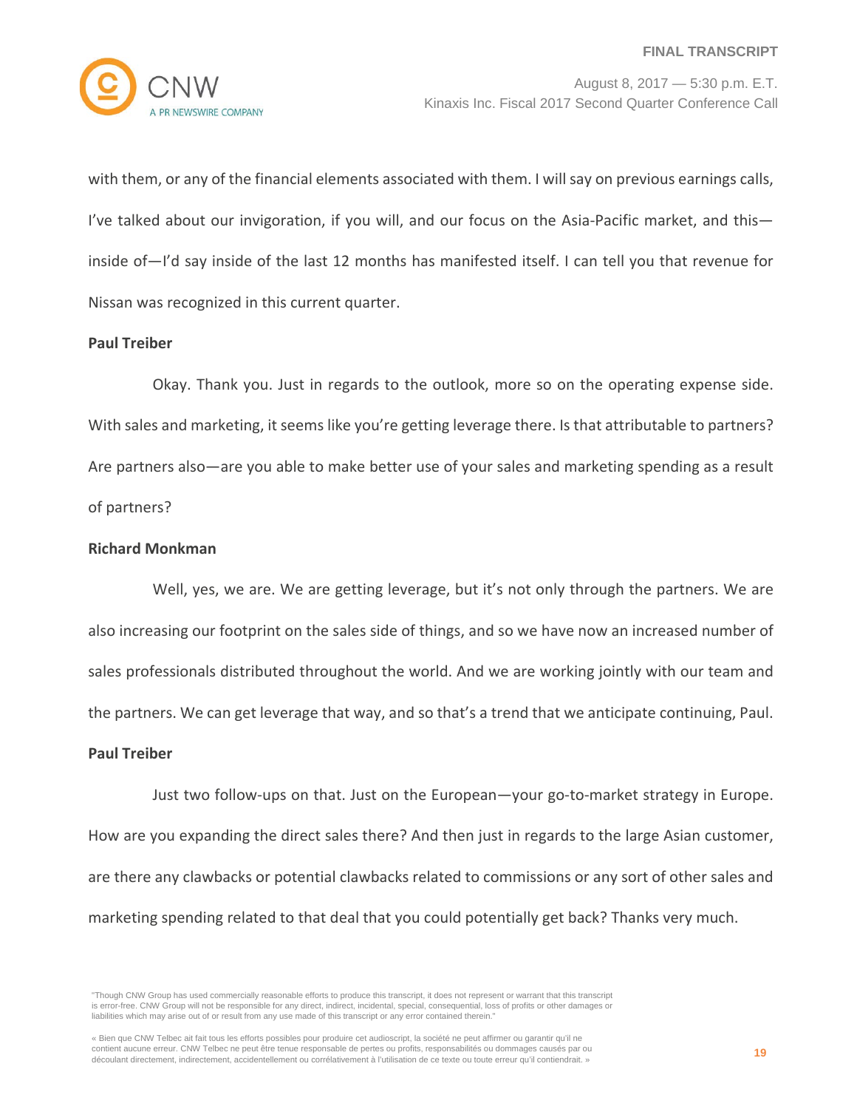

with them, or any of the financial elements associated with them. I will say on previous earnings calls, I've talked about our invigoration, if you will, and our focus on the Asia-Pacific market, and this inside of—I'd say inside of the last 12 months has manifested itself. I can tell you that revenue for Nissan was recognized in this current quarter.

## **Paul Treiber**

Okay. Thank you. Just in regards to the outlook, more so on the operating expense side. With sales and marketing, it seems like you're getting leverage there. Is that attributable to partners? Are partners also—are you able to make better use of your sales and marketing spending as a result of partners?

## **Richard Monkman**

Well, yes, we are. We are getting leverage, but it's not only through the partners. We are also increasing our footprint on the sales side of things, and so we have now an increased number of sales professionals distributed throughout the world. And we are working jointly with our team and the partners. We can get leverage that way, and so that's a trend that we anticipate continuing, Paul.

## **Paul Treiber**

Just two follow-ups on that. Just on the European—your go-to-market strategy in Europe. How are you expanding the direct sales there? And then just in regards to the large Asian customer, are there any clawbacks or potential clawbacks related to commissions or any sort of other sales and marketing spending related to that deal that you could potentially get back? Thanks very much.

<sup>&</sup>quot;Though CNW Group has used commercially reasonable efforts to produce this transcript, it does not represent or warrant that this transcript is error-free. CNW Group will not be responsible for any direct, indirect, incidental, special, consequential, loss of profits or other damages or liabilities which may arise out of or result from any use made of this transcript or any error contained therein."

<sup>«</sup> Bien que CNW Telbec ait fait tous les efforts possibles pour produire cet audioscript, la société ne peut affirmer ou garantir qu'il ne contient aucune erreur. CNW Telbec ne peut être tenue responsable de pertes ou profits, responsabilités ou dommages causés par ou découlant directement, indirectement, accidentellement ou corrélativement à l'utilisation de ce texte ou toute erreur qu'il contiendrait. »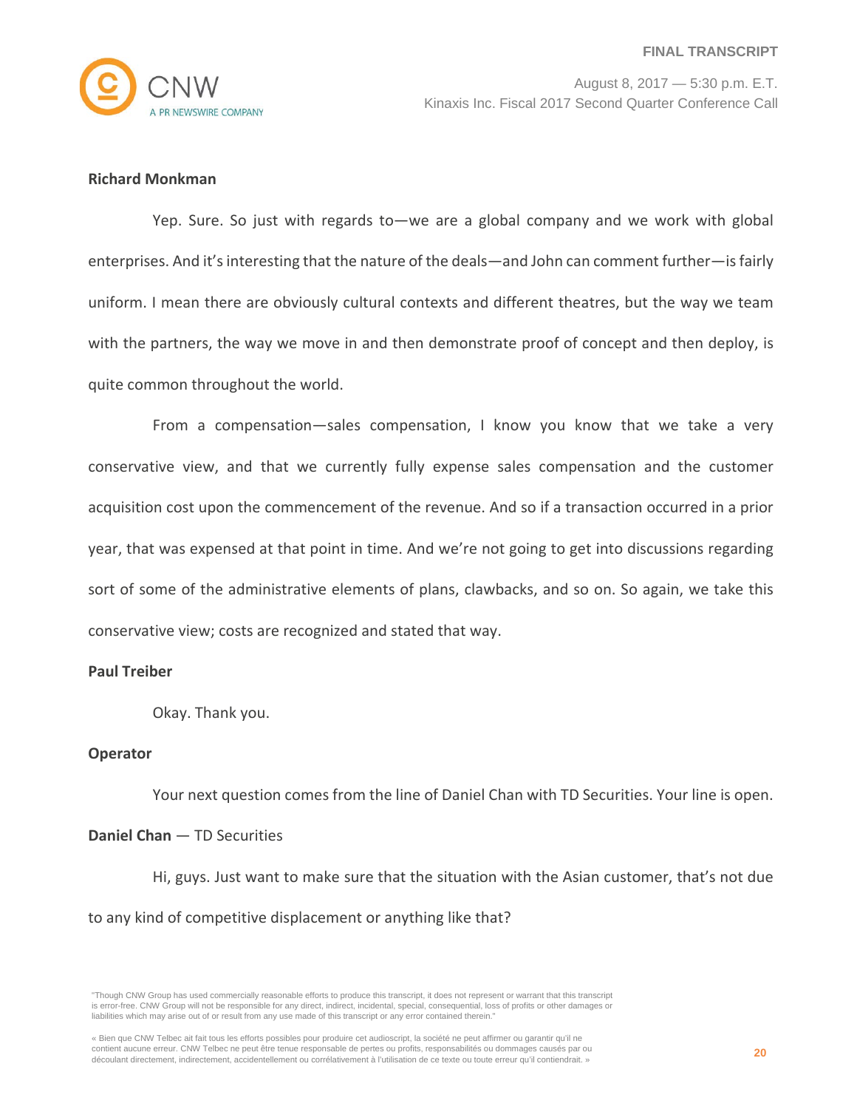

# **Richard Monkman**

Yep. Sure. So just with regards to—we are a global company and we work with global enterprises. And it's interesting that the nature of the deals—and John can comment further—is fairly uniform. I mean there are obviously cultural contexts and different theatres, but the way we team with the partners, the way we move in and then demonstrate proof of concept and then deploy, is quite common throughout the world.

From a compensation—sales compensation, I know you know that we take a very conservative view, and that we currently fully expense sales compensation and the customer acquisition cost upon the commencement of the revenue. And so if a transaction occurred in a prior year, that was expensed at that point in time. And we're not going to get into discussions regarding sort of some of the administrative elements of plans, clawbacks, and so on. So again, we take this conservative view; costs are recognized and stated that way.

## **Paul Treiber**

Okay. Thank you.

## **Operator**

Your next question comes from the line of Daniel Chan with TD Securities. Your line is open.

## **Daniel Chan** — TD Securities

Hi, guys. Just want to make sure that the situation with the Asian customer, that's not due to any kind of competitive displacement or anything like that?

<sup>&</sup>quot;Though CNW Group has used commercially reasonable efforts to produce this transcript, it does not represent or warrant that this transcript is error-free. CNW Group will not be responsible for any direct, indirect, incidental, special, consequential, loss of profits or other damages or liabilities which may arise out of or result from any use made of this transcript or any error contained therein."

<sup>«</sup> Bien que CNW Telbec ait fait tous les efforts possibles pour produire cet audioscript, la société ne peut affirmer ou garantir qu'il ne contient aucune erreur. CNW Telbec ne peut être tenue responsable de pertes ou profits, responsabilités ou dommages causés par ou découlant directement, indirectement, accidentellement ou corrélativement à l'utilisation de ce texte ou toute erreur qu'il contiendrait. »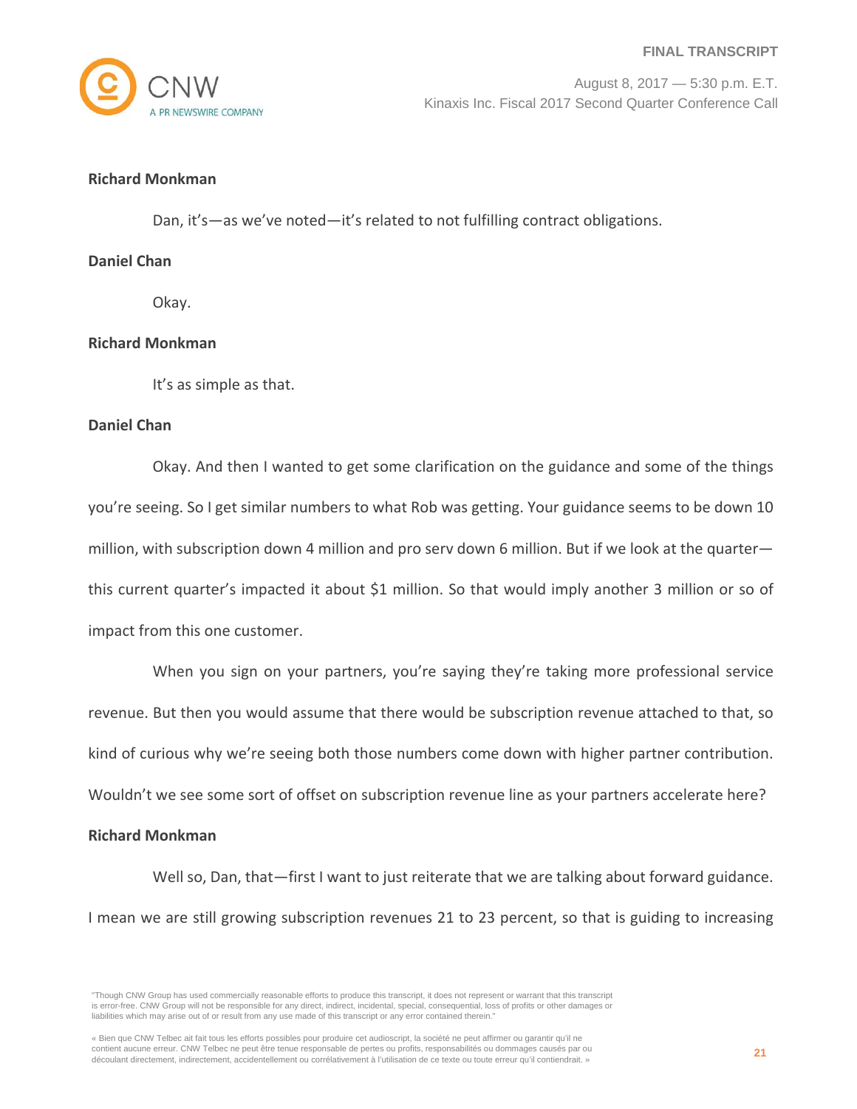# **Richard Monkman**

Dan, it's—as we've noted—it's related to not fulfilling contract obligations.

## **Daniel Chan**

Okay.

## **Richard Monkman**

It's as simple as that.

## **Daniel Chan**

Okay. And then I wanted to get some clarification on the guidance and some of the things you're seeing. So I get similar numbers to what Rob was getting. Your guidance seems to be down 10 million, with subscription down 4 million and pro serv down 6 million. But if we look at the quarter this current quarter's impacted it about \$1 million. So that would imply another 3 million or so of impact from this one customer.

When you sign on your partners, you're saying they're taking more professional service revenue. But then you would assume that there would be subscription revenue attached to that, so kind of curious why we're seeing both those numbers come down with higher partner contribution. Wouldn't we see some sort of offset on subscription revenue line as your partners accelerate here?

#### **Richard Monkman**

Well so, Dan, that-first I want to just reiterate that we are talking about forward guidance. I mean we are still growing subscription revenues 21 to 23 percent, so that is guiding to increasing

<sup>&</sup>quot;Though CNW Group has used commercially reasonable efforts to produce this transcript, it does not represent or warrant that this transcript is error-free. CNW Group will not be responsible for any direct, indirect, incidental, special, consequential, loss of profits or other damages or liabilities which may arise out of or result from any use made of this transcript or any error contained therein."

<sup>«</sup> Bien que CNW Telbec ait fait tous les efforts possibles pour produire cet audioscript, la société ne peut affirmer ou garantir qu'il ne contient aucune erreur. CNW Telbec ne peut être tenue responsable de pertes ou profits, responsabilités ou dommages causés par ou découlant directement, indirectement, accidentellement ou corrélativement à l'utilisation de ce texte ou toute erreur qu'il contiendrait. »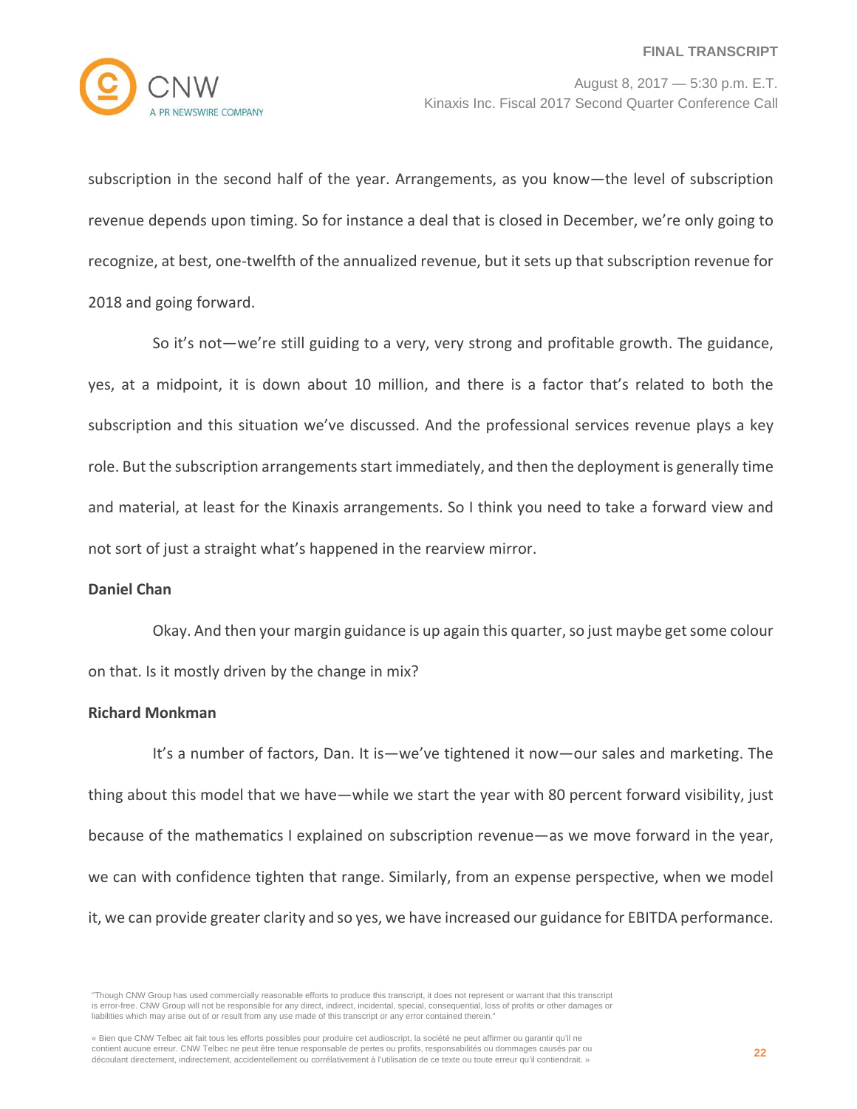

subscription in the second half of the year. Arrangements, as you know—the level of subscription revenue depends upon timing. So for instance a deal that is closed in December, we're only going to recognize, at best, one-twelfth of the annualized revenue, but it sets up that subscription revenue for 2018 and going forward.

So it's not—we're still guiding to a very, very strong and profitable growth. The guidance, yes, at a midpoint, it is down about 10 million, and there is a factor that's related to both the subscription and this situation we've discussed. And the professional services revenue plays a key role. But the subscription arrangements start immediately, and then the deployment is generally time and material, at least for the Kinaxis arrangements. So I think you need to take a forward view and not sort of just a straight what's happened in the rearview mirror.

#### **Daniel Chan**

Okay. And then your margin guidance is up again this quarter, so just maybe get some colour on that. Is it mostly driven by the change in mix?

## **Richard Monkman**

It's a number of factors, Dan. It is—we've tightened it now—our sales and marketing. The thing about this model that we have—while we start the year with 80 percent forward visibility, just because of the mathematics I explained on subscription revenue—as we move forward in the year, we can with confidence tighten that range. Similarly, from an expense perspective, when we model it, we can provide greater clarity and so yes, we have increased our guidance for EBITDA performance.

<sup>&</sup>quot;Though CNW Group has used commercially reasonable efforts to produce this transcript, it does not represent or warrant that this transcript is error-free. CNW Group will not be responsible for any direct, indirect, incidental, special, consequential, loss of profits or other damages or liabilities which may arise out of or result from any use made of this transcript or any error contained therein."

<sup>«</sup> Bien que CNW Telbec ait fait tous les efforts possibles pour produire cet audioscript, la société ne peut affirmer ou garantir qu'il ne contient aucune erreur. CNW Telbec ne peut être tenue responsable de pertes ou profits, responsabilités ou dommages causés par ou découlant directement, indirectement, accidentellement ou corrélativement à l'utilisation de ce texte ou toute erreur qu'il contiendrait. »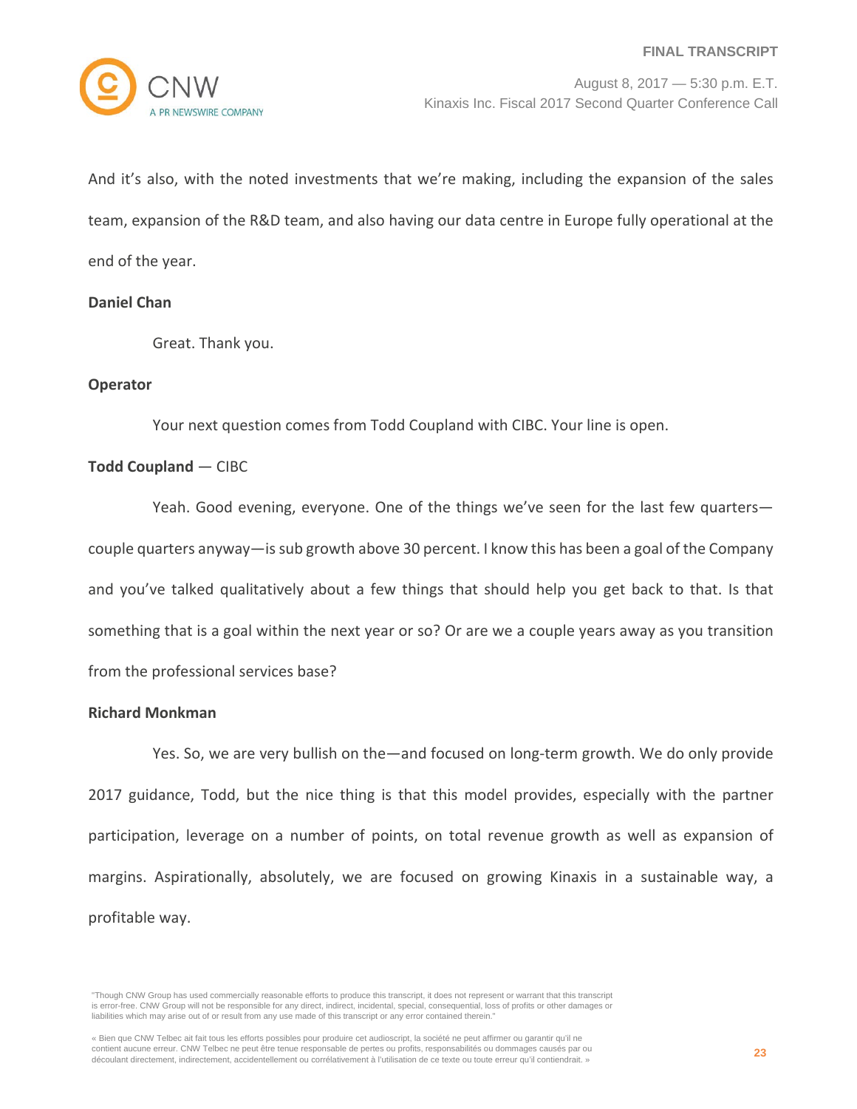And it's also, with the noted investments that we're making, including the expansion of the sales team, expansion of the R&D team, and also having our data centre in Europe fully operational at the end of the year.

## **Daniel Chan**

Great. Thank you.

## **Operator**

Your next question comes from Todd Coupland with CIBC. Your line is open.

#### **Todd Coupland** — CIBC

Yeah. Good evening, everyone. One of the things we've seen for the last few quarters couple quarters anyway—is sub growth above 30 percent. I know this has been a goal of the Company and you've talked qualitatively about a few things that should help you get back to that. Is that something that is a goal within the next year or so? Or are we a couple years away as you transition from the professional services base?

## **Richard Monkman**

Yes. So, we are very bullish on the—and focused on long-term growth. We do only provide 2017 guidance, Todd, but the nice thing is that this model provides, especially with the partner participation, leverage on a number of points, on total revenue growth as well as expansion of margins. Aspirationally, absolutely, we are focused on growing Kinaxis in a sustainable way, a profitable way.

<sup>&</sup>quot;Though CNW Group has used commercially reasonable efforts to produce this transcript, it does not represent or warrant that this transcript is error-free. CNW Group will not be responsible for any direct, indirect, incidental, special, consequential, loss of profits or other damages or liabilities which may arise out of or result from any use made of this transcript or any error contained therein."

<sup>«</sup> Bien que CNW Telbec ait fait tous les efforts possibles pour produire cet audioscript, la société ne peut affirmer ou garantir qu'il ne contient aucune erreur. CNW Telbec ne peut être tenue responsable de pertes ou profits, responsabilités ou dommages causés par ou découlant directement, indirectement, accidentellement ou corrélativement à l'utilisation de ce texte ou toute erreur qu'il contiendrait. »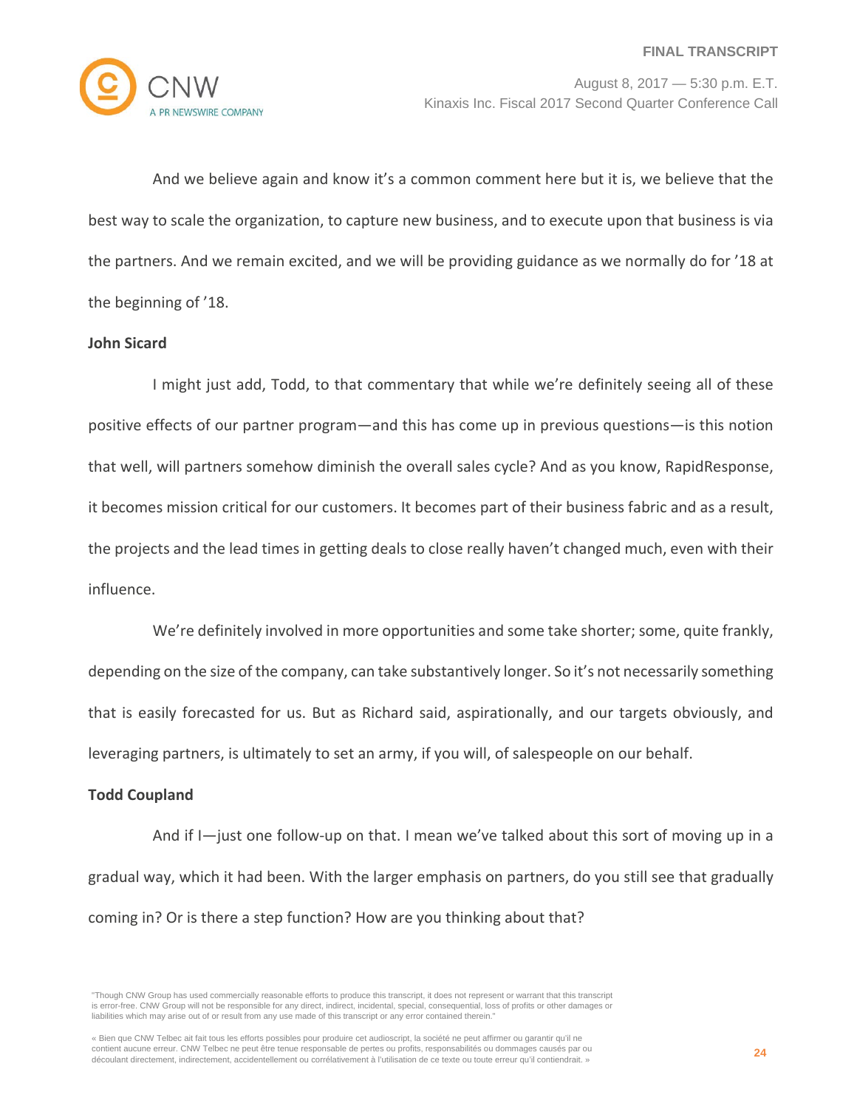

And we believe again and know it's a common comment here but it is, we believe that the best way to scale the organization, to capture new business, and to execute upon that business is via the partners. And we remain excited, and we will be providing guidance as we normally do for '18 at the beginning of '18.

## **John Sicard**

I might just add, Todd, to that commentary that while we're definitely seeing all of these positive effects of our partner program—and this has come up in previous questions—is this notion that well, will partners somehow diminish the overall sales cycle? And as you know, RapidResponse, it becomes mission critical for our customers. It becomes part of their business fabric and as a result, the projects and the lead times in getting deals to close really haven't changed much, even with their influence.

We're definitely involved in more opportunities and some take shorter; some, quite frankly, depending on the size of the company, can take substantively longer. So it's not necessarily something that is easily forecasted for us. But as Richard said, aspirationally, and our targets obviously, and leveraging partners, is ultimately to set an army, if you will, of salespeople on our behalf.

## **Todd Coupland**

And if I—just one follow-up on that. I mean we've talked about this sort of moving up in a gradual way, which it had been. With the larger emphasis on partners, do you still see that gradually coming in? Or is there a step function? How are you thinking about that?

<sup>&</sup>quot;Though CNW Group has used commercially reasonable efforts to produce this transcript, it does not represent or warrant that this transcript is error-free. CNW Group will not be responsible for any direct, indirect, incidental, special, consequential, loss of profits or other damages or liabilities which may arise out of or result from any use made of this transcript or any error contained therein."

<sup>«</sup> Bien que CNW Telbec ait fait tous les efforts possibles pour produire cet audioscript, la société ne peut affirmer ou garantir qu'il ne contient aucune erreur. CNW Telbec ne peut être tenue responsable de pertes ou profits, responsabilités ou dommages causés par ou découlant directement, indirectement, accidentellement ou corrélativement à l'utilisation de ce texte ou toute erreur qu'il contiendrait. »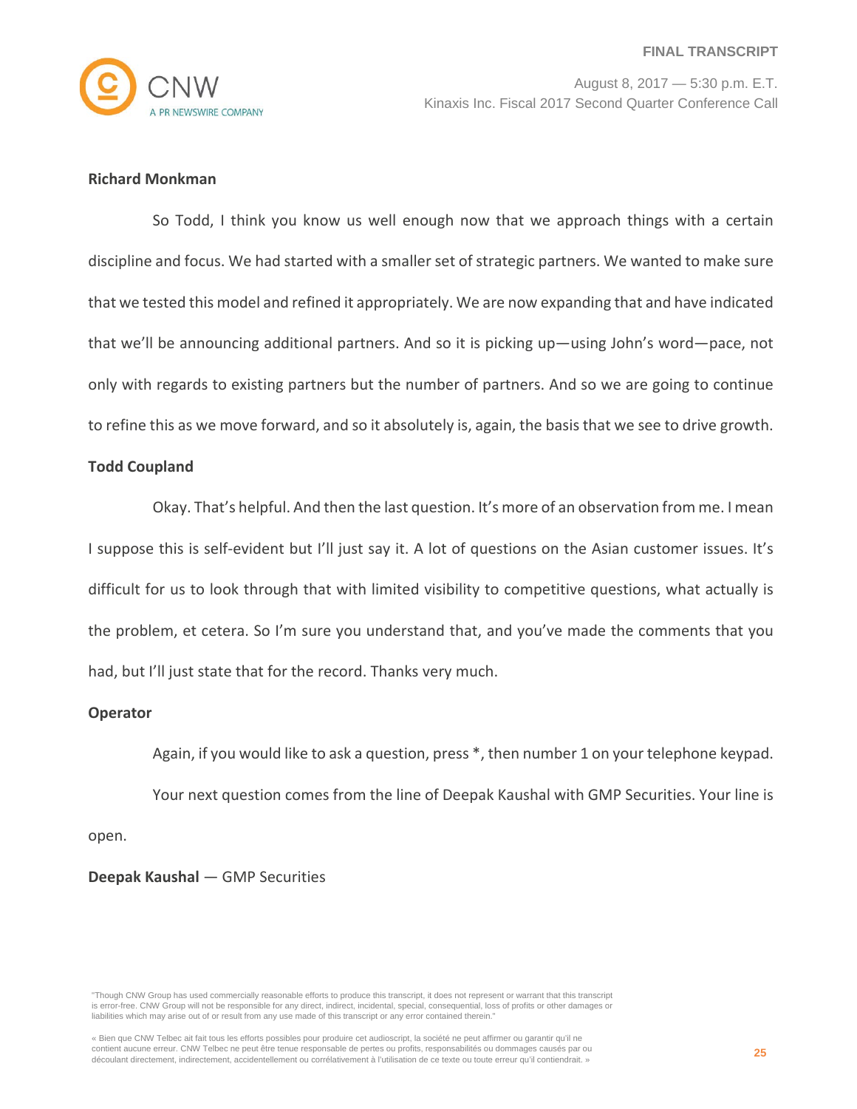

# **Richard Monkman**

So Todd, I think you know us well enough now that we approach things with a certain discipline and focus. We had started with a smaller set of strategic partners. We wanted to make sure that we tested this model and refined it appropriately. We are now expanding that and have indicated that we'll be announcing additional partners. And so it is picking up—using John's word—pace, not only with regards to existing partners but the number of partners. And so we are going to continue to refine this as we move forward, and so it absolutely is, again, the basis that we see to drive growth.

## **Todd Coupland**

Okay. That's helpful. And then the last question. It's more of an observation from me. I mean I suppose this is self-evident but I'll just say it. A lot of questions on the Asian customer issues. It's difficult for us to look through that with limited visibility to competitive questions, what actually is the problem, et cetera. So I'm sure you understand that, and you've made the comments that you had, but I'll just state that for the record. Thanks very much.

## **Operator**

Again, if you would like to ask a question, press \*, then number 1 on your telephone keypad. Your next question comes from the line of Deepak Kaushal with GMP Securities. Your line is

open.

# **Deepak Kaushal** — GMP Securities

"Though CNW Group has used commercially reasonable efforts to produce this transcript, it does not represent or warrant that this transcript is error-free. CNW Group will not be responsible for any direct, indirect, incidental, special, consequential, loss of profits or other damages or liabilities which may arise out of or result from any use made of this transcript or any error contained therein."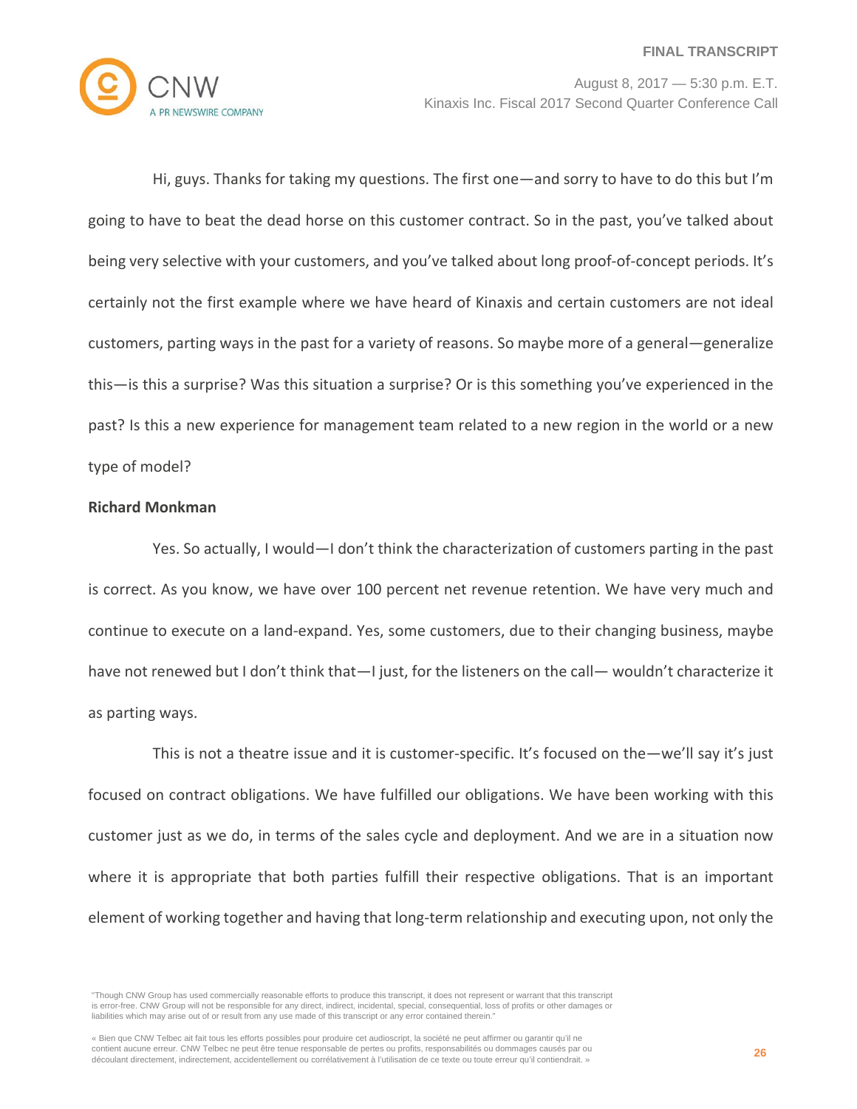

Hi, guys. Thanks for taking my questions. The first one—and sorry to have to do this but I'm going to have to beat the dead horse on this customer contract. So in the past, you've talked about being very selective with your customers, and you've talked about long proof-of-concept periods. It's certainly not the first example where we have heard of Kinaxis and certain customers are not ideal customers, parting ways in the past for a variety of reasons. So maybe more of a general—generalize this—is this a surprise? Was this situation a surprise? Or is this something you've experienced in the past? Is this a new experience for management team related to a new region in the world or a new type of model?

## **Richard Monkman**

Yes. So actually, I would—I don't think the characterization of customers parting in the past is correct. As you know, we have over 100 percent net revenue retention. We have very much and continue to execute on a land-expand. Yes, some customers, due to their changing business, maybe have not renewed but I don't think that—I just, for the listeners on the call— wouldn't characterize it as parting ways.

This is not a theatre issue and it is customer-specific. It's focused on the—we'll say it's just focused on contract obligations. We have fulfilled our obligations. We have been working with this customer just as we do, in terms of the sales cycle and deployment. And we are in a situation now where it is appropriate that both parties fulfill their respective obligations. That is an important element of working together and having that long-term relationship and executing upon, not only the

<sup>&</sup>quot;Though CNW Group has used commercially reasonable efforts to produce this transcript, it does not represent or warrant that this transcript is error-free. CNW Group will not be responsible for any direct, indirect, incidental, special, consequential, loss of profits or other damages or liabilities which may arise out of or result from any use made of this transcript or any error contained therein."

<sup>«</sup> Bien que CNW Telbec ait fait tous les efforts possibles pour produire cet audioscript, la société ne peut affirmer ou garantir qu'il ne contient aucune erreur. CNW Telbec ne peut être tenue responsable de pertes ou profits, responsabilités ou dommages causés par ou découlant directement, indirectement, accidentellement ou corrélativement à l'utilisation de ce texte ou toute erreur qu'il contiendrait. »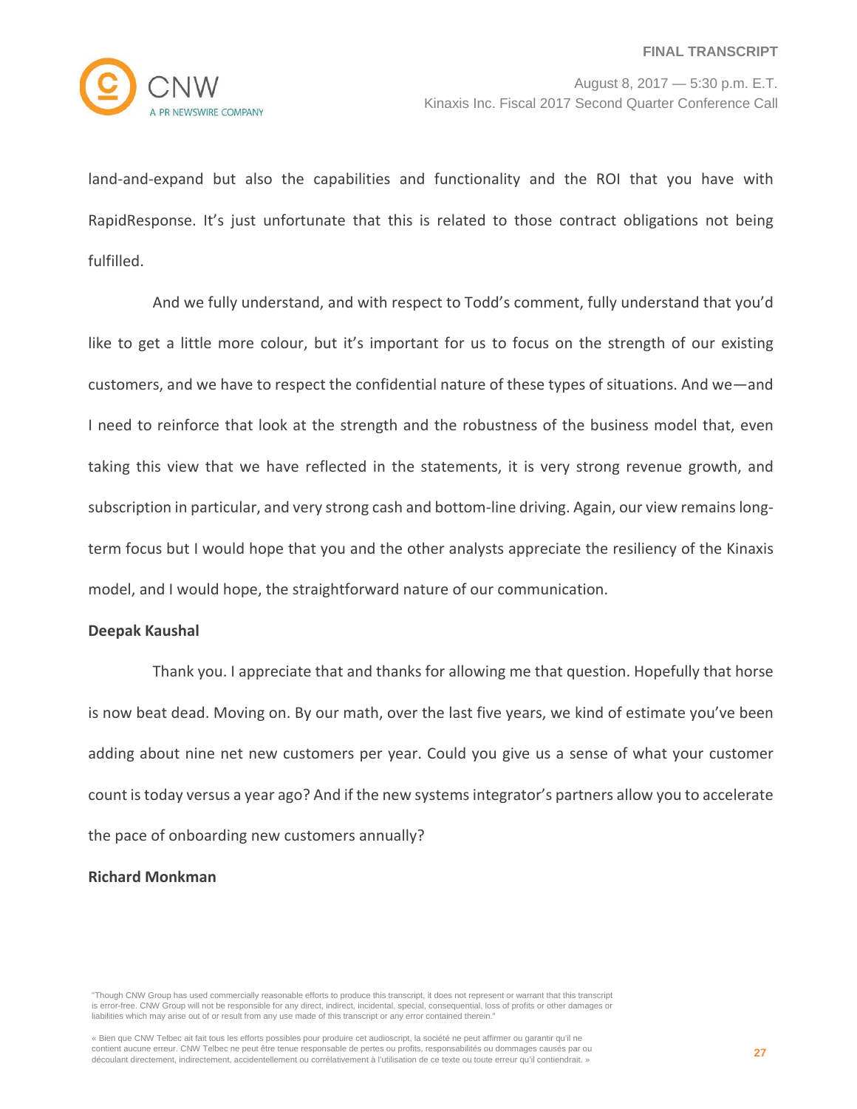land-and-expand but also the capabilities and functionality and the ROI that you have with RapidResponse. It's just unfortunate that this is related to those contract obligations not being fulfilled.

And we fully understand, and with respect to Todd's comment, fully understand that you'd like to get a little more colour, but it's important for us to focus on the strength of our existing customers, and we have to respect the confidential nature of these types of situations. And we—and I need to reinforce that look at the strength and the robustness of the business model that, even taking this view that we have reflected in the statements, it is very strong revenue growth, and subscription in particular, and very strong cash and bottom-line driving. Again, our view remains longterm focus but I would hope that you and the other analysts appreciate the resiliency of the Kinaxis model, and I would hope, the straightforward nature of our communication.

#### **Deepak Kaushal**

Thank you. I appreciate that and thanks for allowing me that question. Hopefully that horse is now beat dead. Moving on. By our math, over the last five years, we kind of estimate you've been adding about nine net new customers per year. Could you give us a sense of what your customer count is today versus a year ago? And if the new systems integrator's partners allow you to accelerate the pace of onboarding new customers annually?

# **Richard Monkman**

<sup>&</sup>quot;Though CNW Group has used commercially reasonable efforts to produce this transcript, it does not represent or warrant that this transcript is error-free. CNW Group will not be responsible for any direct, indirect, incidental, special, consequential, loss of profits or other damages or liabilities which may arise out of or result from any use made of this transcript or any error contained therein."

<sup>«</sup> Bien que CNW Telbec ait fait tous les efforts possibles pour produire cet audioscript, la société ne peut affirmer ou garantir qu'il ne contient aucune erreur. CNW Telbec ne peut être tenue responsable de pertes ou profits, responsabilités ou dommages causés par ou découlant directement, indirectement, accidentellement ou corrélativement à l'utilisation de ce texte ou toute erreur qu'il contiendrait. »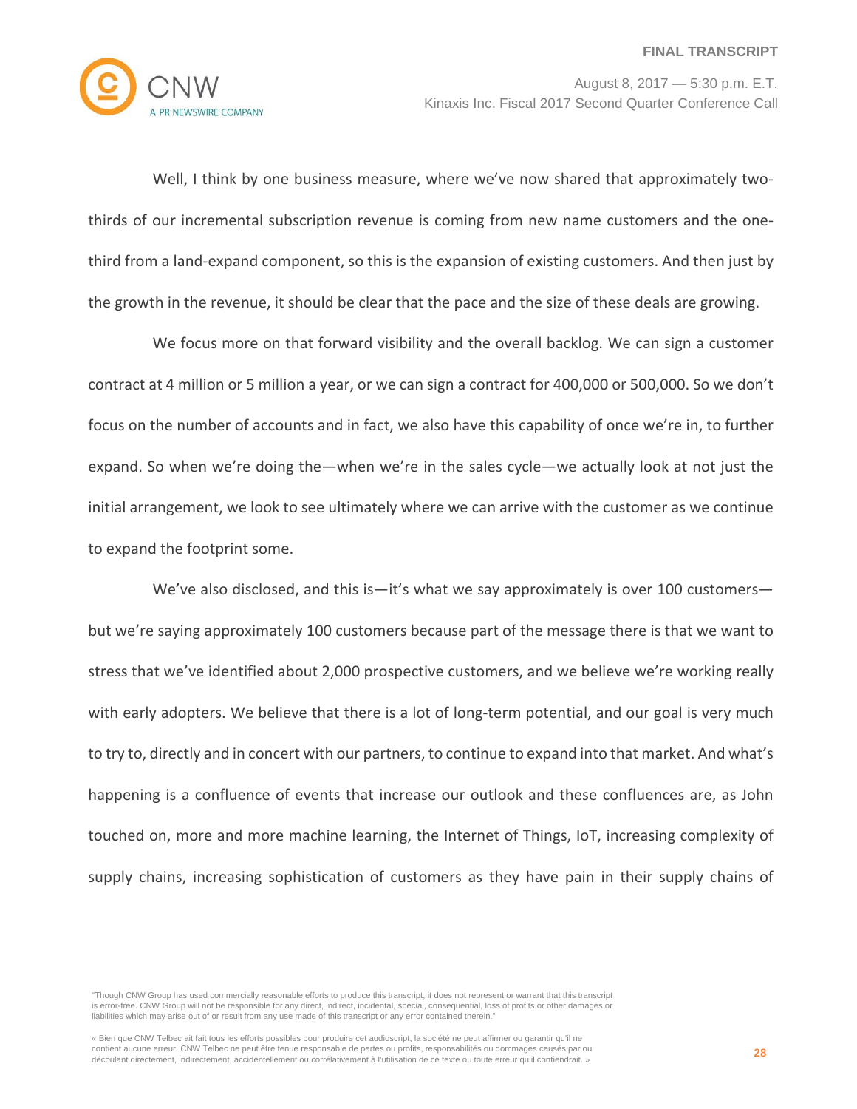

Well, I think by one business measure, where we've now shared that approximately twothirds of our incremental subscription revenue is coming from new name customers and the onethird from a land-expand component, so this is the expansion of existing customers. And then just by the growth in the revenue, it should be clear that the pace and the size of these deals are growing.

We focus more on that forward visibility and the overall backlog. We can sign a customer contract at 4 million or 5 million a year, or we can sign a contract for 400,000 or 500,000. So we don't focus on the number of accounts and in fact, we also have this capability of once we're in, to further expand. So when we're doing the—when we're in the sales cycle—we actually look at not just the initial arrangement, we look to see ultimately where we can arrive with the customer as we continue to expand the footprint some.

We've also disclosed, and this is—it's what we say approximately is over 100 customers but we're saying approximately 100 customers because part of the message there is that we want to stress that we've identified about 2,000 prospective customers, and we believe we're working really with early adopters. We believe that there is a lot of long-term potential, and our goal is very much to try to, directly and in concert with our partners, to continue to expand into that market. And what's happening is a confluence of events that increase our outlook and these confluences are, as John touched on, more and more machine learning, the Internet of Things, IoT, increasing complexity of supply chains, increasing sophistication of customers as they have pain in their supply chains of

"Though CNW Group has used commercially reasonable efforts to produce this transcript, it does not represent or warrant that this transcript is error-free. CNW Group will not be responsible for any direct, indirect, incidental, special, consequential, loss of profits or other damages or liabilities which may arise out of or result from any use made of this transcript or any error contained therein."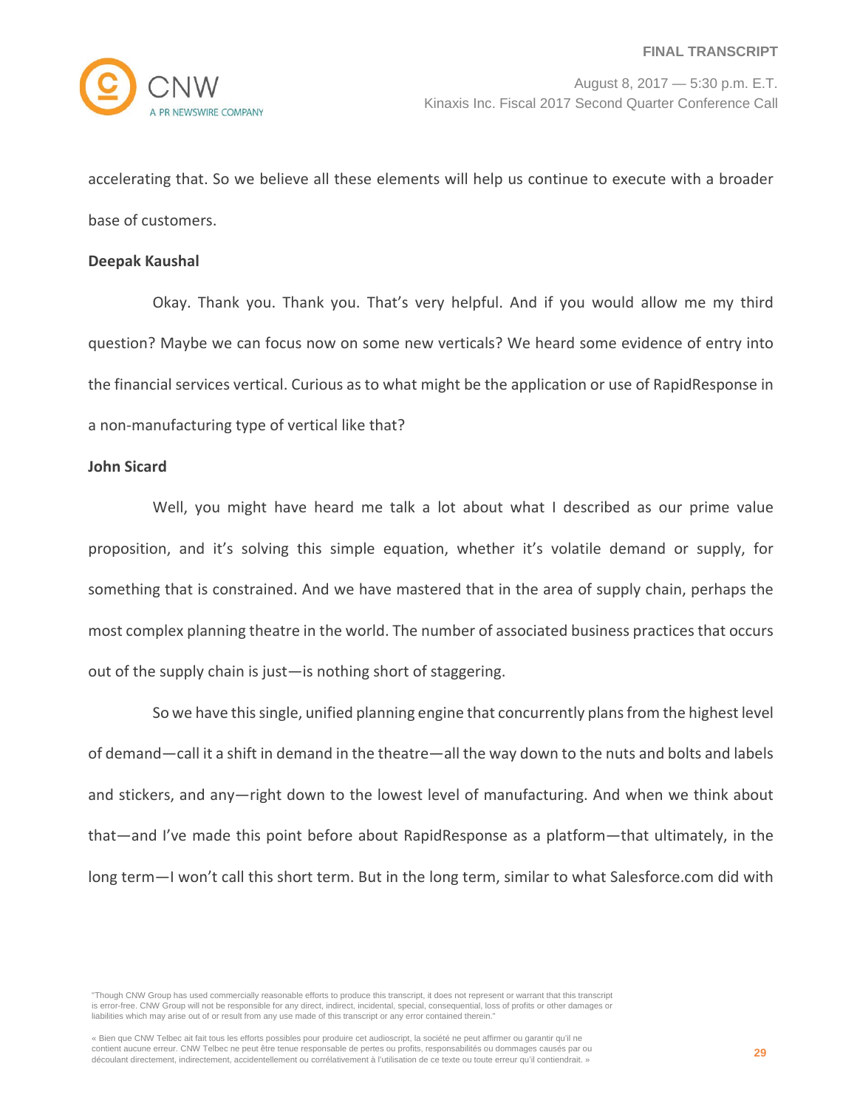accelerating that. So we believe all these elements will help us continue to execute with a broader base of customers.

#### **Deepak Kaushal**

Okay. Thank you. Thank you. That's very helpful. And if you would allow me my third question? Maybe we can focus now on some new verticals? We heard some evidence of entry into the financial services vertical. Curious as to what might be the application or use of RapidResponse in a non-manufacturing type of vertical like that?

## **John Sicard**

Well, you might have heard me talk a lot about what I described as our prime value proposition, and it's solving this simple equation, whether it's volatile demand or supply, for something that is constrained. And we have mastered that in the area of supply chain, perhaps the most complex planning theatre in the world. The number of associated business practices that occurs out of the supply chain is just—is nothing short of staggering.

So we have this single, unified planning engine that concurrently plans from the highest level of demand—call it a shift in demand in the theatre—all the way down to the nuts and bolts and labels and stickers, and any—right down to the lowest level of manufacturing. And when we think about that—and I've made this point before about RapidResponse as a platform—that ultimately, in the long term—I won't call this short term. But in the long term, similar to what Salesforce.com did with

"Though CNW Group has used commercially reasonable efforts to produce this transcript, it does not represent or warrant that this transcript is error-free. CNW Group will not be responsible for any direct, indirect, incidental, special, consequential, loss of profits or other damages or liabilities which may arise out of or result from any use made of this transcript or any error contained therein."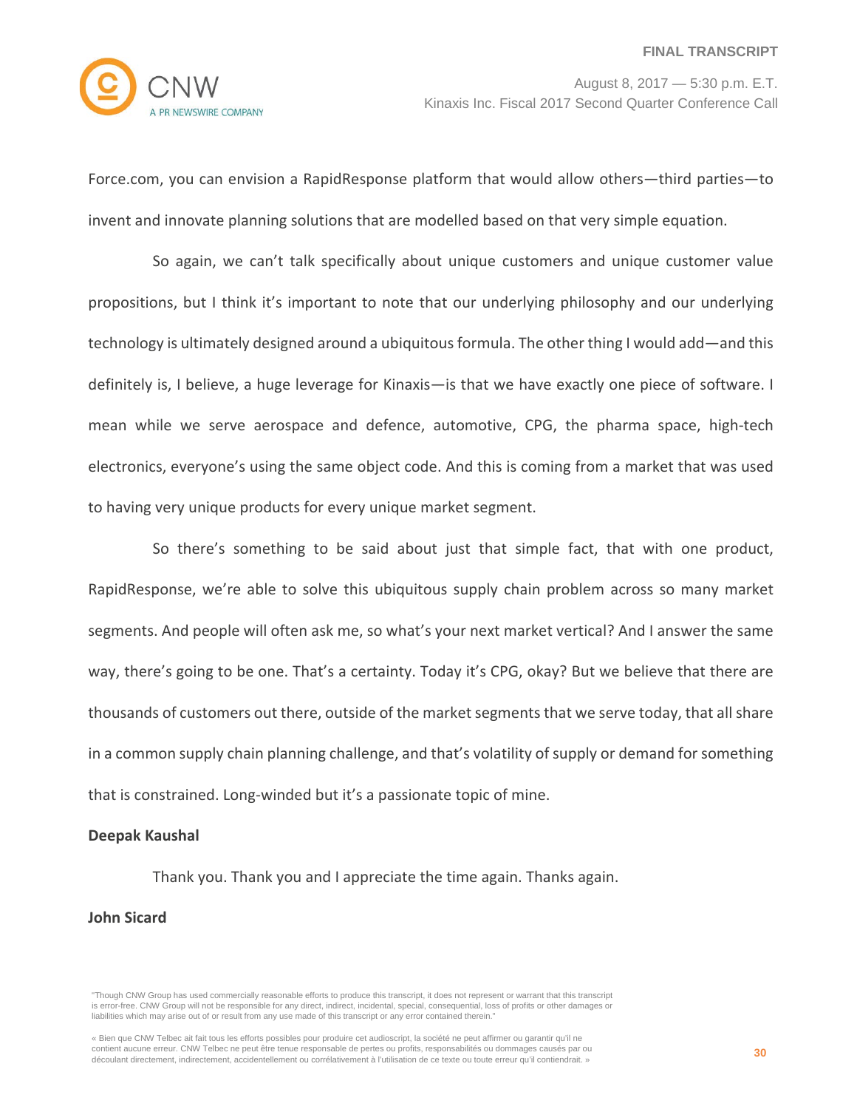Force.com, you can envision a RapidResponse platform that would allow others—third parties—to invent and innovate planning solutions that are modelled based on that very simple equation.

So again, we can't talk specifically about unique customers and unique customer value propositions, but I think it's important to note that our underlying philosophy and our underlying technology is ultimately designed around a ubiquitous formula. The other thing I would add—and this definitely is, I believe, a huge leverage for Kinaxis—is that we have exactly one piece of software. I mean while we serve aerospace and defence, automotive, CPG, the pharma space, high-tech electronics, everyone's using the same object code. And this is coming from a market that was used to having very unique products for every unique market segment.

So there's something to be said about just that simple fact, that with one product, RapidResponse, we're able to solve this ubiquitous supply chain problem across so many market segments. And people will often ask me, so what's your next market vertical? And I answer the same way, there's going to be one. That's a certainty. Today it's CPG, okay? But we believe that there are thousands of customers out there, outside of the market segments that we serve today, that all share in a common supply chain planning challenge, and that's volatility of supply or demand for something that is constrained. Long-winded but it's a passionate topic of mine.

#### **Deepak Kaushal**

Thank you. Thank you and I appreciate the time again. Thanks again.

#### **John Sicard**

<sup>&</sup>quot;Though CNW Group has used commercially reasonable efforts to produce this transcript, it does not represent or warrant that this transcript is error-free. CNW Group will not be responsible for any direct, indirect, incidental, special, consequential, loss of profits or other damages or liabilities which may arise out of or result from any use made of this transcript or any error contained therein."

<sup>«</sup> Bien que CNW Telbec ait fait tous les efforts possibles pour produire cet audioscript, la société ne peut affirmer ou garantir qu'il ne contient aucune erreur. CNW Telbec ne peut être tenue responsable de pertes ou profits, responsabilités ou dommages causés par ou découlant directement, indirectement, accidentellement ou corrélativement à l'utilisation de ce texte ou toute erreur qu'il contiendrait. »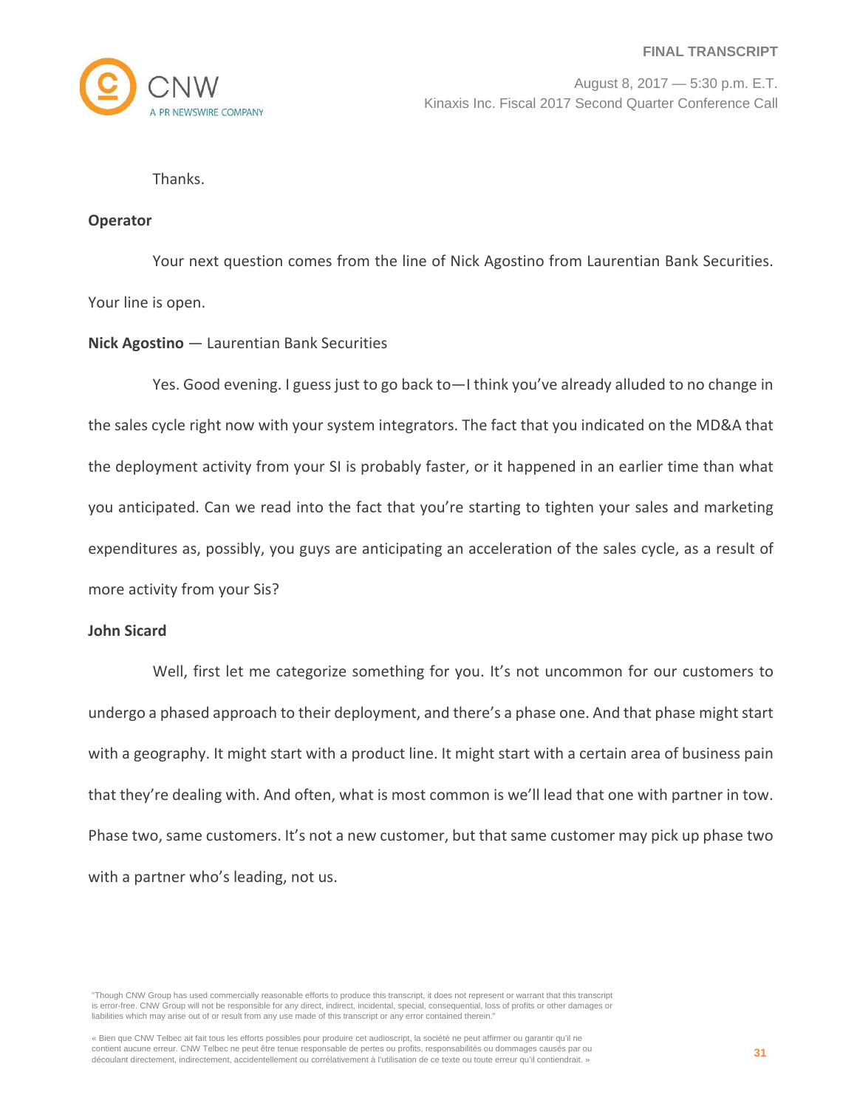

Thanks.

## **Operator**

Your next question comes from the line of Nick Agostino from Laurentian Bank Securities. Your line is open.

## **Nick Agostino** — Laurentian Bank Securities

Yes. Good evening. I guess just to go back to—I think you've already alluded to no change in the sales cycle right now with your system integrators. The fact that you indicated on the MD&A that the deployment activity from your SI is probably faster, or it happened in an earlier time than what you anticipated. Can we read into the fact that you're starting to tighten your sales and marketing expenditures as, possibly, you guys are anticipating an acceleration of the sales cycle, as a result of more activity from your Sis?

## **John Sicard**

Well, first let me categorize something for you. It's not uncommon for our customers to undergo a phased approach to their deployment, and there's a phase one. And that phase might start with a geography. It might start with a product line. It might start with a certain area of business pain that they're dealing with. And often, what is most common is we'll lead that one with partner in tow. Phase two, same customers. It's not a new customer, but that same customer may pick up phase two with a partner who's leading, not us.

"Though CNW Group has used commercially reasonable efforts to produce this transcript, it does not represent or warrant that this transcript is error-free. CNW Group will not be responsible for any direct, indirect, incidental, special, consequential, loss of profits or other damages or liabilities which may arise out of or result from any use made of this transcript or any error contained therein."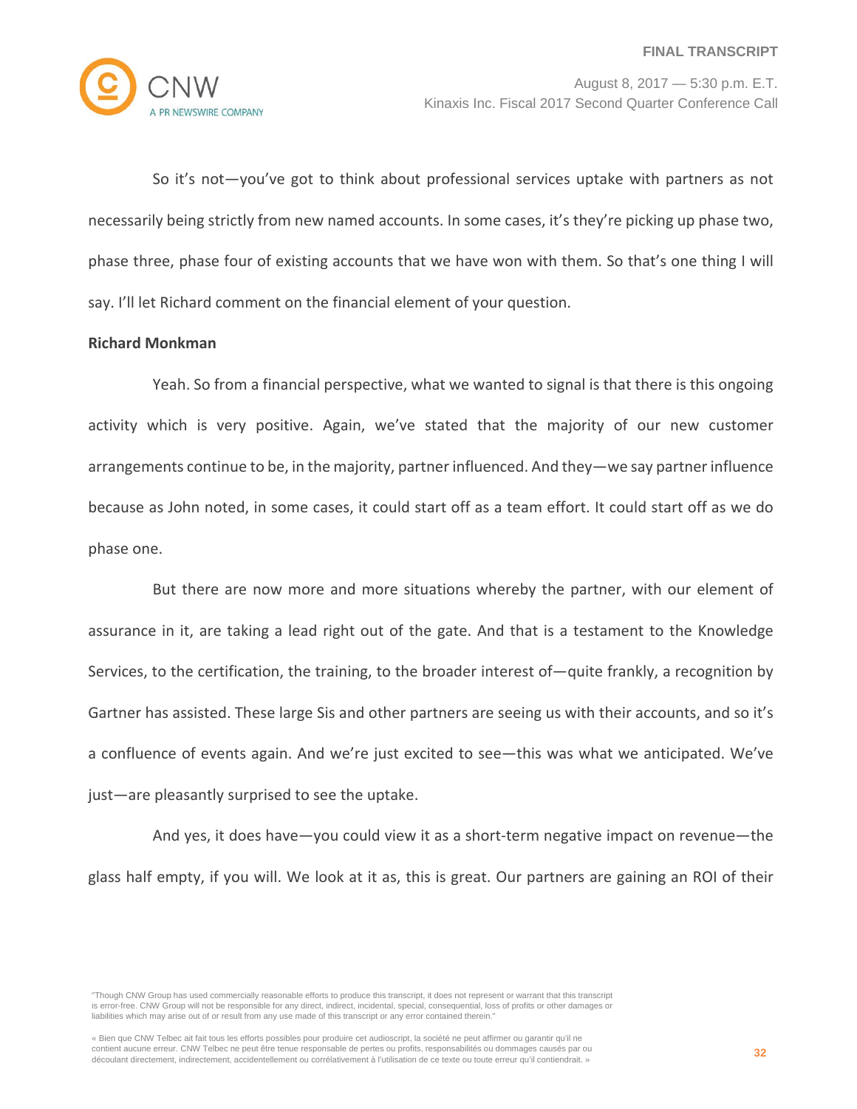

So it's not—you've got to think about professional services uptake with partners as not necessarily being strictly from new named accounts. In some cases, it's they're picking up phase two, phase three, phase four of existing accounts that we have won with them. So that's one thing I will say. I'll let Richard comment on the financial element of your question.

## **Richard Monkman**

Yeah. So from a financial perspective, what we wanted to signal is that there is this ongoing activity which is very positive. Again, we've stated that the majority of our new customer arrangements continue to be, in the majority, partner influenced. And they—we say partner influence because as John noted, in some cases, it could start off as a team effort. It could start off as we do phase one.

But there are now more and more situations whereby the partner, with our element of assurance in it, are taking a lead right out of the gate. And that is a testament to the Knowledge Services, to the certification, the training, to the broader interest of—quite frankly, a recognition by Gartner has assisted. These large Sis and other partners are seeing us with their accounts, and so it's a confluence of events again. And we're just excited to see—this was what we anticipated. We've just—are pleasantly surprised to see the uptake.

And yes, it does have—you could view it as a short-term negative impact on revenue—the glass half empty, if you will. We look at it as, this is great. Our partners are gaining an ROI of their

"Though CNW Group has used commercially reasonable efforts to produce this transcript, it does not represent or warrant that this transcript is error-free. CNW Group will not be responsible for any direct, indirect, incidental, special, consequential, loss of profits or other damages or liabilities which may arise out of or result from any use made of this transcript or any error contained therein."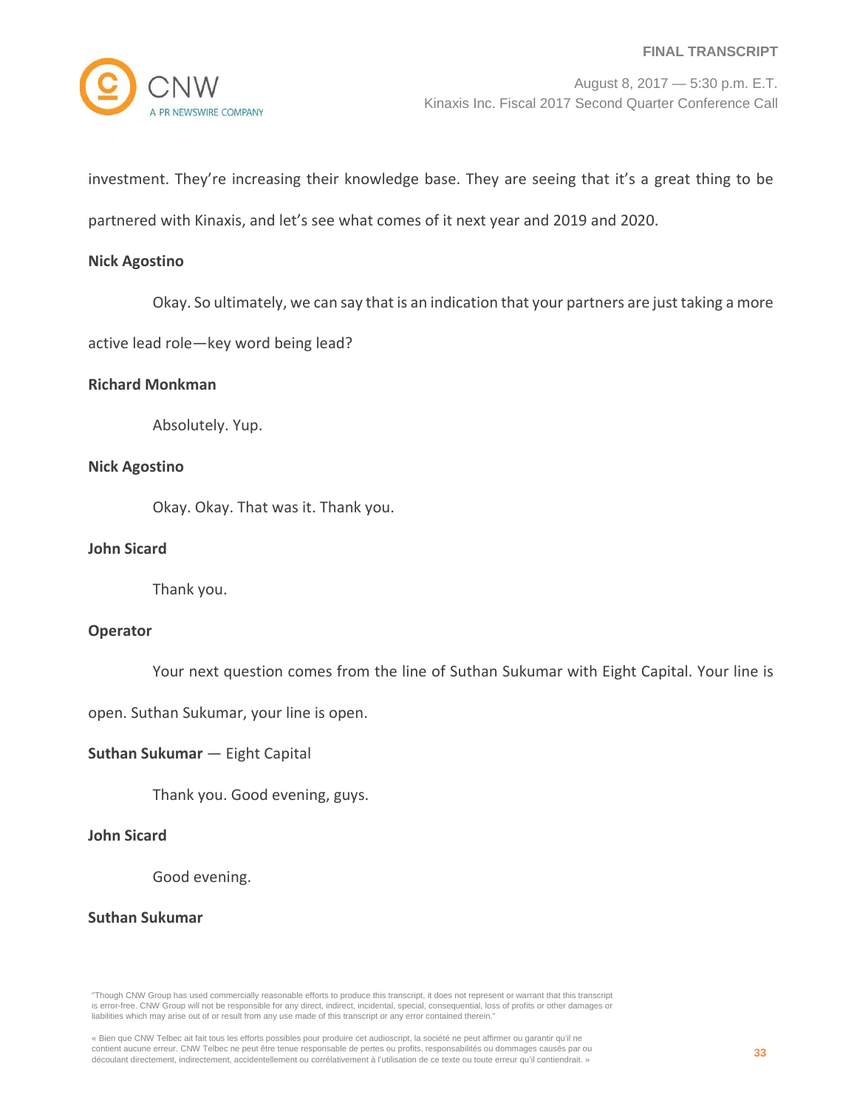investment. They're increasing their knowledge base. They are seeing that it's a great thing to be

partnered with Kinaxis, and let's see what comes of it next year and 2019 and 2020.

## **Nick Agostino**

Okay. So ultimately, we can say that is an indication that your partners are just taking a more

active lead role—key word being lead?

## **Richard Monkman**

Absolutely. Yup.

## **Nick Agostino**

Okay. Okay. That was it. Thank you.

# **John Sicard**

Thank you.

## **Operator**

Your next question comes from the line of Suthan Sukumar with Eight Capital. Your line is

open. Suthan Sukumar, your line is open.

#### **Suthan Sukumar** — Eight Capital

Thank you. Good evening, guys.

# **John Sicard**

Good evening.

## **Suthan Sukumar**

"Though CNW Group has used commercially reasonable efforts to produce this transcript, it does not represent or warrant that this transcript is error-free. CNW Group will not be responsible for any direct, indirect, incidental, special, consequential, loss of profits or other damages or liabilities which may arise out of or result from any use made of this transcript or any error contained therein."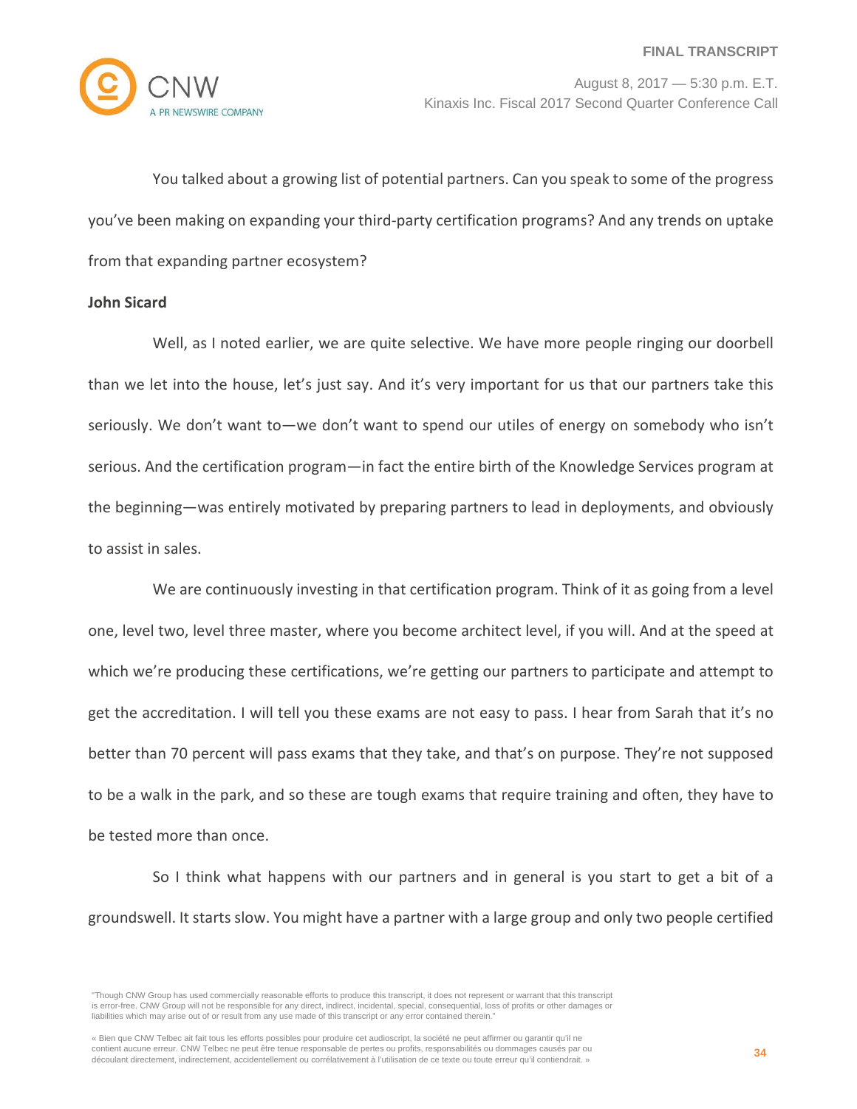

You talked about a growing list of potential partners. Can you speak to some of the progress you've been making on expanding your third-party certification programs? And any trends on uptake from that expanding partner ecosystem?

## **John Sicard**

Well, as I noted earlier, we are quite selective. We have more people ringing our doorbell than we let into the house, let's just say. And it's very important for us that our partners take this seriously. We don't want to—we don't want to spend our utiles of energy on somebody who isn't serious. And the certification program—in fact the entire birth of the Knowledge Services program at the beginning—was entirely motivated by preparing partners to lead in deployments, and obviously to assist in sales.

We are continuously investing in that certification program. Think of it as going from a level one, level two, level three master, where you become architect level, if you will. And at the speed at which we're producing these certifications, we're getting our partners to participate and attempt to get the accreditation. I will tell you these exams are not easy to pass. I hear from Sarah that it's no better than 70 percent will pass exams that they take, and that's on purpose. They're not supposed to be a walk in the park, and so these are tough exams that require training and often, they have to be tested more than once.

So I think what happens with our partners and in general is you start to get a bit of a groundswell. It starts slow. You might have a partner with a large group and only two people certified

<sup>&</sup>quot;Though CNW Group has used commercially reasonable efforts to produce this transcript, it does not represent or warrant that this transcript is error-free. CNW Group will not be responsible for any direct, indirect, incidental, special, consequential, loss of profits or other damages or liabilities which may arise out of or result from any use made of this transcript or any error contained therein."

<sup>«</sup> Bien que CNW Telbec ait fait tous les efforts possibles pour produire cet audioscript, la société ne peut affirmer ou garantir qu'il ne contient aucune erreur. CNW Telbec ne peut être tenue responsable de pertes ou profits, responsabilités ou dommages causés par ou découlant directement, indirectement, accidentellement ou corrélativement à l'utilisation de ce texte ou toute erreur qu'il contiendrait. »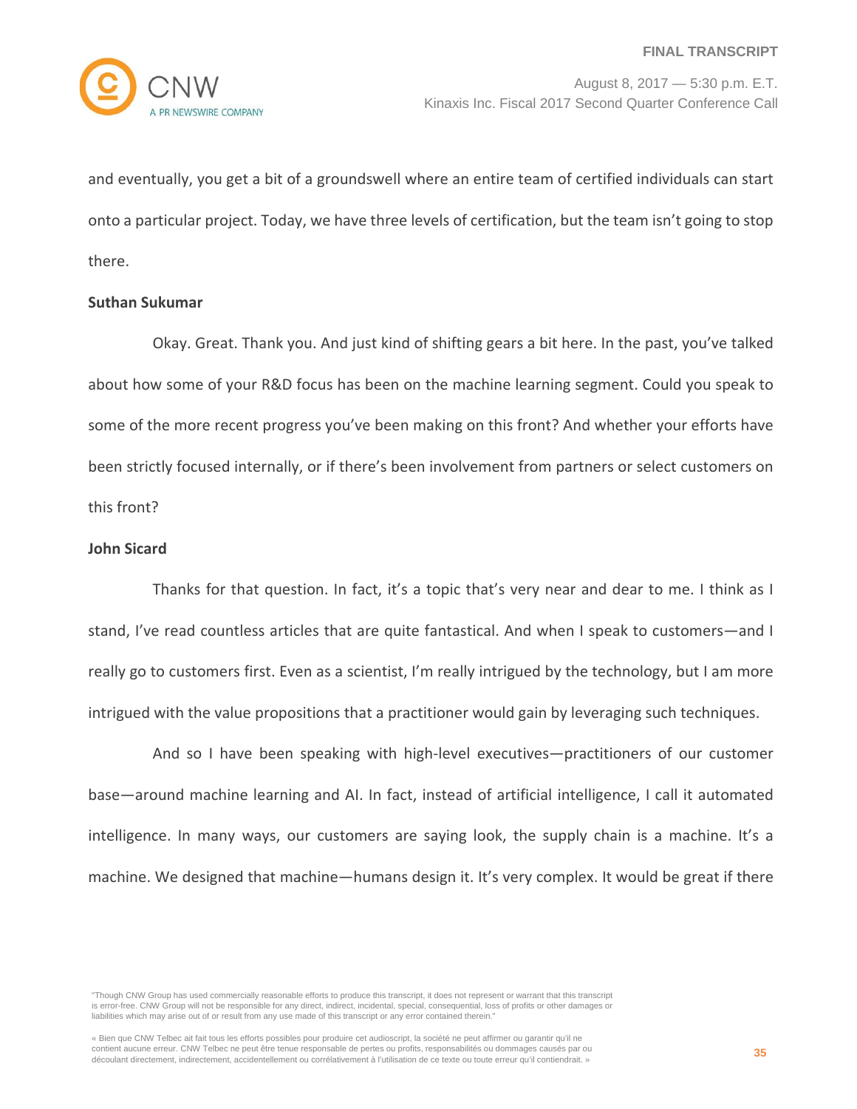

and eventually, you get a bit of a groundswell where an entire team of certified individuals can start onto a particular project. Today, we have three levels of certification, but the team isn't going to stop there.

#### **Suthan Sukumar**

Okay. Great. Thank you. And just kind of shifting gears a bit here. In the past, you've talked about how some of your R&D focus has been on the machine learning segment. Could you speak to some of the more recent progress you've been making on this front? And whether your efforts have been strictly focused internally, or if there's been involvement from partners or select customers on this front?

## **John Sicard**

Thanks for that question. In fact, it's a topic that's very near and dear to me. I think as I stand, I've read countless articles that are quite fantastical. And when I speak to customers—and I really go to customers first. Even as a scientist, I'm really intrigued by the technology, but I am more intrigued with the value propositions that a practitioner would gain by leveraging such techniques.

And so I have been speaking with high-level executives—practitioners of our customer base—around machine learning and AI. In fact, instead of artificial intelligence, I call it automated intelligence. In many ways, our customers are saying look, the supply chain is a machine. It's a machine. We designed that machine—humans design it. It's very complex. It would be great if there

"Though CNW Group has used commercially reasonable efforts to produce this transcript, it does not represent or warrant that this transcript is error-free. CNW Group will not be responsible for any direct, indirect, incidental, special, consequential, loss of profits or other damages or liabilities which may arise out of or result from any use made of this transcript or any error contained therein."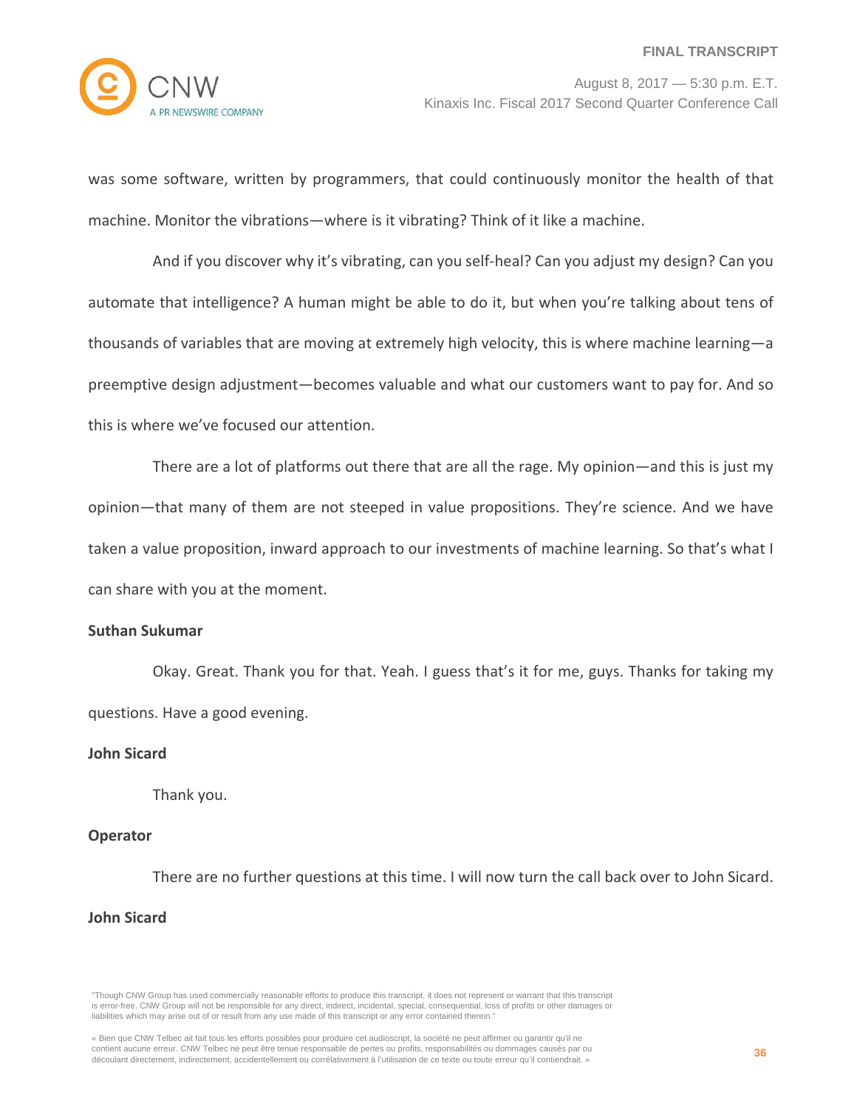

was some software, written by programmers, that could continuously monitor the health of that machine. Monitor the vibrations—where is it vibrating? Think of it like a machine.

And if you discover why it's vibrating, can you self-heal? Can you adjust my design? Can you automate that intelligence? A human might be able to do it, but when you're talking about tens of thousands of variables that are moving at extremely high velocity, this is where machine learning—a preemptive design adjustment—becomes valuable and what our customers want to pay for. And so this is where we've focused our attention.

There are a lot of platforms out there that are all the rage. My opinion—and this is just my opinion—that many of them are not steeped in value propositions. They're science. And we have taken a value proposition, inward approach to our investments of machine learning. So that's what I can share with you at the moment.

# **Suthan Sukumar**

Okay. Great. Thank you for that. Yeah. I guess that's it for me, guys. Thanks for taking my questions. Have a good evening.

## **John Sicard**

Thank you.

## **Operator**

There are no further questions at this time. I will now turn the call back over to John Sicard.

# **John Sicard**

"Though CNW Group has used commercially reasonable efforts to produce this transcript, it does not represent or warrant that this transcript is error-free. CNW Group will not be responsible for any direct, indirect, incidental, special, consequential, loss of profits or other damages or liabilities which may arise out of or result from any use made of this transcript or any error contained therein."